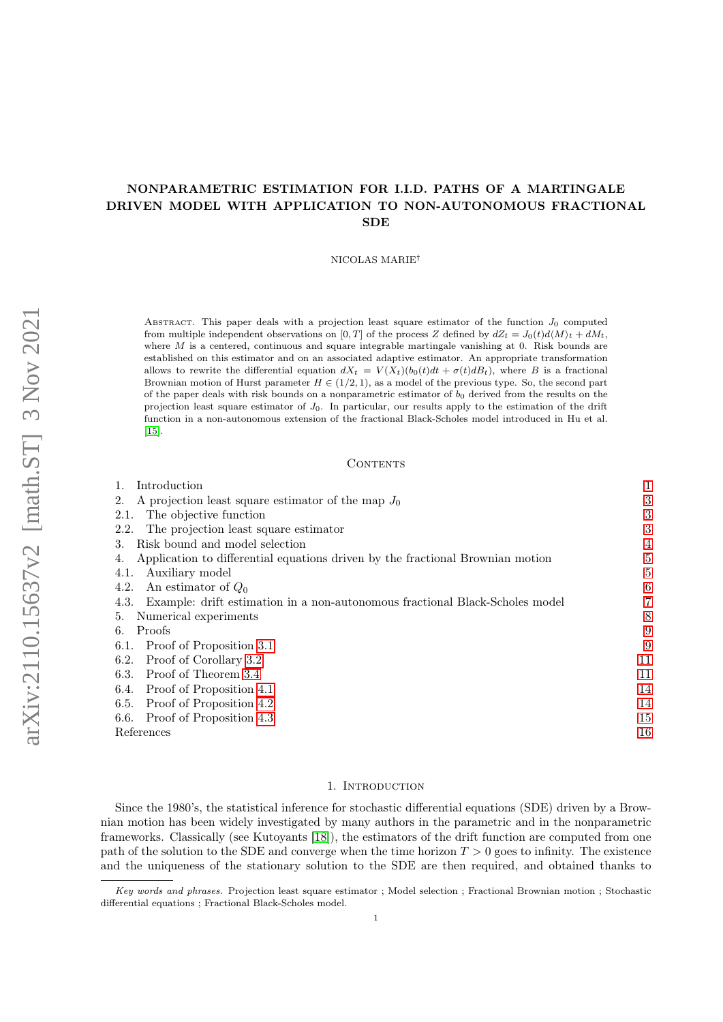# NONPARAMETRIC ESTIMATION FOR I.I.D. PATHS OF A MARTINGALE DRIVEN MODEL WITH APPLICATION TO NON-AUTONOMOUS FRACTIONAL **SDE**

NICOLAS MARIE†

ABSTRACT. This paper deals with a projection least square estimator of the function  $J_0$  computed from multiple independent observations on [0, T] of the process Z defined by  $dZ_t = J_0(t) d\langle M \rangle_t + dM_t$ , where  $M$  is a centered, continuous and square integrable martingale vanishing at 0. Risk bounds are established on this estimator and on an associated adaptive estimator. An appropriate transformation allows to rewrite the differential equation  $dX_t = V(X_t)(b_0(t)dt + \sigma(t)dB_t)$ , where B is a fractional Brownian motion of Hurst parameter  $H \in (1/2, 1)$ , as a model of the previous type. So, the second part of the paper deals with risk bounds on a nonparametric estimator of  $b_0$  derived from the results on the projection least square estimator of  $J_0$ . In particular, our results apply to the estimation of the drift function in a non-autonomous extension of the fractional Black-Scholes model introduced in Hu et al. [\[15\]](#page-15-0).

## CONTENTS

| 1. Introduction |  |
|-----------------|--|
|                 |  |

| A projection least square estimator of the map $J_0$<br>2.                           | 3  |
|--------------------------------------------------------------------------------------|----|
| The objective function<br>2.1.                                                       | 3  |
| The projection least square estimator<br>2.2.                                        | 3  |
| Risk bound and model selection<br>3.                                                 |    |
| Application to differential equations driven by the fractional Brownian motion       | 5  |
| Auxiliary model<br>4.1.                                                              |    |
| An estimator of $Q_0$<br>4.2.                                                        | 6  |
| Example: drift estimation in a non-autonomous fractional Black-Scholes model<br>4.3. |    |
| Numerical experiments<br>5.                                                          | 8  |
| Proofs<br>6.                                                                         | 9  |
| Proof of Proposition 3.1<br>6.1.                                                     | 9  |
| Proof of Corollary 3.2<br>6.2.                                                       | 11 |
| Proof of Theorem 3.4<br>6.3.                                                         | 11 |
| Proof of Proposition 4.1<br>6.4.                                                     | 14 |
| Proof of Proposition 4.2<br>6.5.                                                     | 14 |
| 6.6. Proof of Proposition 4.3                                                        | 15 |
| References                                                                           | 16 |
|                                                                                      |    |

#### 1. Introduction

<span id="page-0-0"></span>Since the 1980's, the statistical inference for stochastic differential equations (SDE) driven by a Brownian motion has been widely investigated by many authors in the parametric and in the nonparametric frameworks. Classically (see Kutoyants [\[18\]](#page-15-2)), the estimators of the drift function are computed from one path of the solution to the SDE and converge when the time horizon  $T > 0$  goes to infinity. The existence and the uniqueness of the stationary solution to the SDE are then required, and obtained thanks to

Key words and phrases. Projection least square estimator ; Model selection ; Fractional Brownian motion ; Stochastic differential equations ; Fractional Black-Scholes model.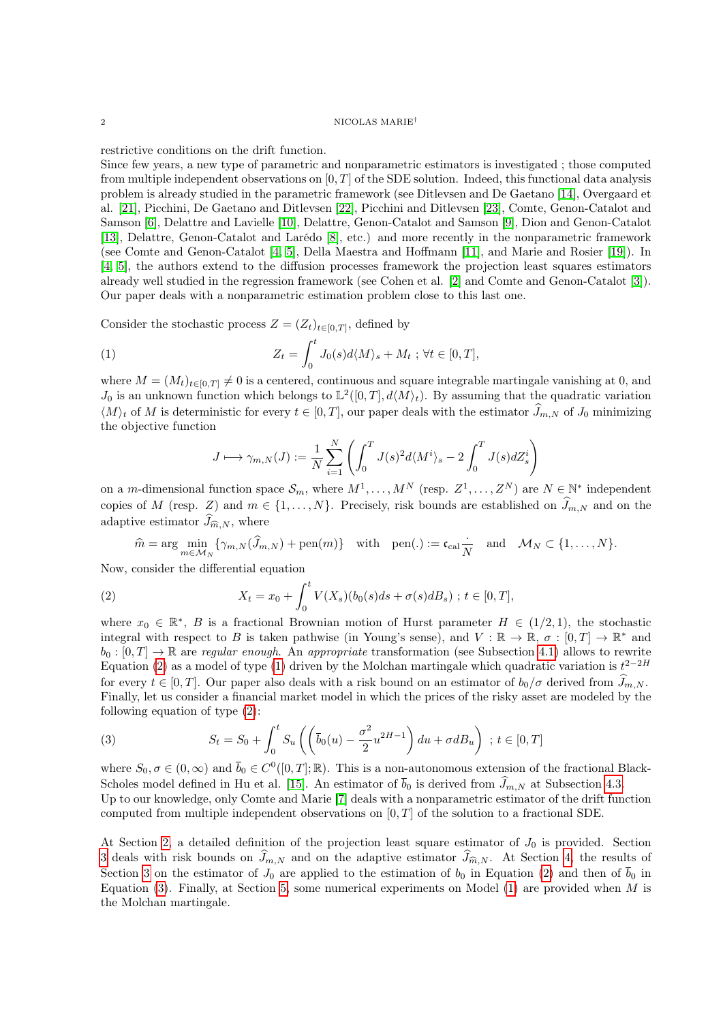#### 2 NICOLAS MARIE†

restrictive conditions on the drift function.

Since few years, a new type of parametric and nonparametric estimators is investigated ; those computed from multiple independent observations on  $[0, T]$  of the SDE solution. Indeed, this functional data analysis problem is already studied in the parametric framework (see Ditlevsen and De Gaetano [\[14\]](#page-15-3), Overgaard et al. [\[21\]](#page-15-4), Picchini, De Gaetano and Ditlevsen [\[22\]](#page-15-5), Picchini and Ditlevsen [\[23\]](#page-15-6), Comte, Genon-Catalot and Samson [\[6\]](#page-15-7), Delattre and Lavielle [\[10\]](#page-15-8), Delattre, Genon-Catalot and Samson [\[9\]](#page-15-9), Dion and Genon-Catalot [\[13\]](#page-15-10), Delattre, Genon-Catalot and Larédo [\[8\]](#page-15-11), etc.) and more recently in the nonparametric framework (see Comte and Genon-Catalot [\[4,](#page-15-12) [5\]](#page-15-13), Della Maestra and Hoffmann [\[11\]](#page-15-14), and Marie and Rosier [\[19\]](#page-15-15)). In [\[4,](#page-15-12) [5\]](#page-15-13), the authors extend to the diffusion processes framework the projection least squares estimators already well studied in the regression framework (see Cohen et al. [\[2\]](#page-15-16) and Comte and Genon-Catalot [\[3\]](#page-15-17)). Our paper deals with a nonparametric estimation problem close to this last one.

Consider the stochastic process  $Z = (Z_t)_{t \in [0,T]}$ , defined by

(1) 
$$
Z_t = \int_0^t J_0(s) d\langle M \rangle_s + M_t \; ; \; \forall t \in [0, T],
$$

where  $M = (M_t)_{t \in [0,T]} \neq 0$  is a centered, continuous and square integrable martingale vanishing at 0, and  $J_0$  is an unknown function which belongs to  $\mathbb{L}^2([0,T], d\langle M\rangle_t)$ . By assuming that the quadratic variation  $\langle M \rangle_t$  of M is deterministic for every  $t \in [0, T]$ , our paper deals with the estimator  $\widehat{J}_{m,N}$  of  $J_0$  minimizing the objective function

<span id="page-1-1"></span>
$$
J \longmapsto \gamma_{m,N}(J) := \frac{1}{N} \sum_{i=1}^{N} \left( \int_{0}^{T} J(s)^{2} d\langle M^{i} \rangle_{s} - 2 \int_{0}^{T} J(s) dZ_{s}^{i} \right)
$$

on a m-dimensional function space  $\mathcal{S}_m$ , where  $M^1, \ldots, M^N$  (resp.  $Z^1, \ldots, Z^N$ ) are  $N \in \mathbb{N}^*$  independent copies of M (resp. Z) and  $m \in \{1, ..., N\}$ . Precisely, risk bounds are established on  $\widehat{J}_{m,N}$  and on the adaptive estimator  $\widehat{J}_{\widehat{m},N}$ , where

<span id="page-1-0"></span>
$$
\widehat{m} = \arg \min_{m \in \mathcal{M}_N} \{ \gamma_{m,N}(\widehat{J}_{m,N}) + \text{pen}(m) \} \quad \text{with} \quad \text{pen}(.) := \mathfrak{c}_{\text{cal}} \frac{\cdot}{N} \quad \text{and} \quad \mathcal{M}_N \subset \{1, \dots, N\}.
$$

Now, consider the differential equation

(2) 
$$
X_t = x_0 + \int_0^t V(X_s)(b_0(s)ds + \sigma(s)dB_s) \; ; \; t \in [0, T],
$$

where  $x_0 \in \mathbb{R}^*, B$  is a fractional Brownian motion of Hurst parameter  $H \in (1/2, 1)$ , the stochastic integral with respect to B is taken pathwise (in Young's sense), and  $V : \mathbb{R} \to \mathbb{R}, \sigma : [0, T] \to \mathbb{R}^*$  and  $b_0: [0, T] \to \mathbb{R}$  are regular enough. An appropriate transformation (see Subsection [4.1\)](#page-4-1) allows to rewrite Equation [\(2\)](#page-1-0) as a model of type [\(1\)](#page-1-1) driven by the Molchan martingale which quadratic variation is  $t^{2-2H}$ for every  $t \in [0, T]$ . Our paper also deals with a risk bound on an estimator of  $b_0/\sigma$  derived from  $\tilde{J}_{m,N}$ . Finally, let us consider a financial market model in which the prices of the risky asset are modeled by the following equation of type [\(2\)](#page-1-0):

<span id="page-1-2"></span>(3) 
$$
S_t = S_0 + \int_0^t S_u \left( \left( \overline{b}_0(u) - \frac{\sigma^2}{2} u^{2H-1} \right) du + \sigma d B_u \right) ; t \in [0, T]
$$

where  $S_0, \sigma \in (0, \infty)$  and  $\bar{b}_0 \in C^0([0, T]; \mathbb{R})$ . This is a non-autonomous extension of the fractional Black-Scholes model defined in Hu et al. [\[15\]](#page-15-0). An estimator of  $\bar{b}_0$  is derived from  $\widehat{J}_{m,N}$  at Subsection [4.3.](#page-6-0) Up to our knowledge, only Comte and Marie [\[7\]](#page-15-18) deals with a nonparametric estimator of the drift function computed from multiple independent observations on  $[0, T]$  of the solution to a fractional SDE.

At Section [2,](#page-2-0) a detailed definition of the projection least square estimator of  $J_0$  is provided. Section [3](#page-3-0) deals with risk bounds on  $\widehat{J}_{m,N}$  and on the adaptive estimator  $\widehat{J}_{\widehat{m},N}$ . At Section [4,](#page-4-0) the results of Section [3](#page-3-0) on the estimator of  $J_0$  are applied to the estimation of  $b_0$  in Equation [\(2\)](#page-1-0) and then of  $\bar{b}_0$  in Equation [\(3\)](#page-1-2). Finally, at Section [5,](#page-7-0) some numerical experiments on Model [\(1\)](#page-1-1) are provided when  $M$  is the Molchan martingale.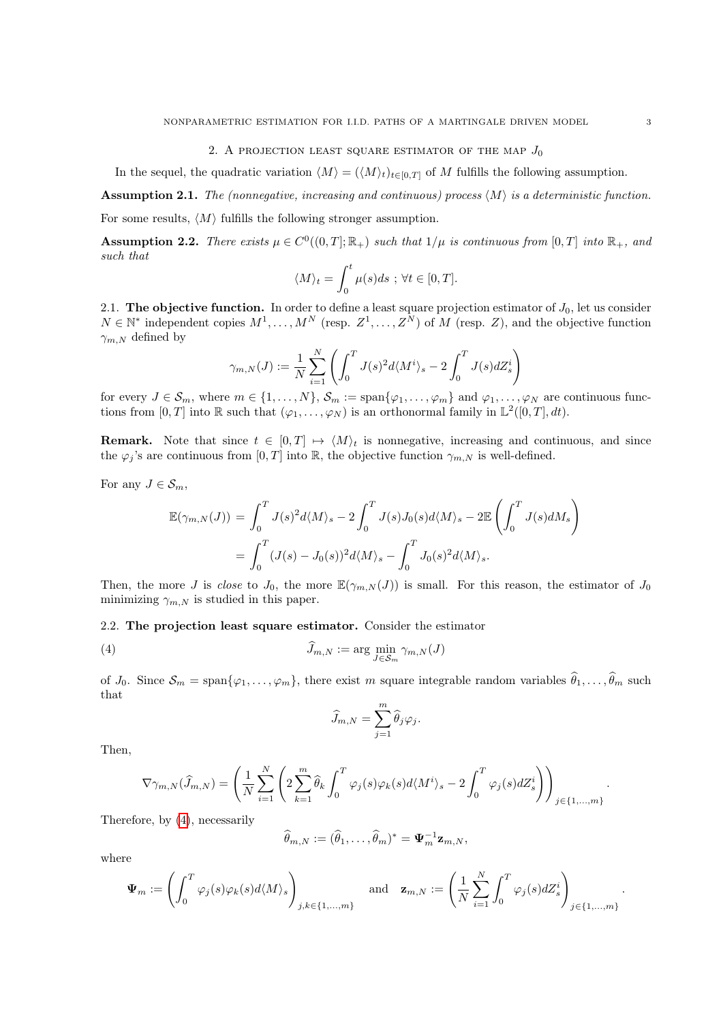2. A PROJECTION LEAST SQUARE ESTIMATOR OF THE MAP  $J_0$ 

<span id="page-2-0"></span>In the sequel, the quadratic variation  $\langle M \rangle = (\langle M \rangle_t)_{t \in [0,T]}$  of M fulfills the following assumption.

<span id="page-2-4"></span>Assumption 2.1. The (nonnegative, increasing and continuous) process  $\langle M \rangle$  is a deterministic function.

For some results,  $\langle M \rangle$  fulfills the following stronger assumption.

<span id="page-2-5"></span>**Assumption 2.2.** There exists  $\mu \in C^0((0,T]; \mathbb{R}_+)$  such that  $1/\mu$  is continuous from  $[0,T]$  into  $\mathbb{R}_+$ , and such that

$$
\langle M \rangle_t = \int_0^t \mu(s)ds \; ; \; \forall t \in [0, T].
$$

<span id="page-2-1"></span>2.1. The objective function. In order to define a least square projection estimator of  $J_0$ , let us consider  $N \in \mathbb{N}^*$  independent copies  $M^1, \ldots, M^N$  (resp.  $Z^1, \ldots, Z^N$ ) of M (resp. Z), and the objective function  $\gamma_{m,N}$  defined by

$$
\gamma_{m,N}(J) := \frac{1}{N} \sum_{i=1}^N \left( \int_0^T J(s)^2 d\langle M^i \rangle_s - 2 \int_0^T J(s) dZ_s^i \right)
$$

for every  $J \in \mathcal{S}_m$ , where  $m \in \{1, ..., N\}$ ,  $\mathcal{S}_m := \text{span}\{\varphi_1, ..., \varphi_m\}$  and  $\varphi_1, ..., \varphi_N$  are continuous functions from  $[0, T]$  into R such that  $(\varphi_1, \ldots, \varphi_N)$  is an orthonormal family in  $\mathbb{L}^2([0, T], dt)$ .

**Remark.** Note that since  $t \in [0, T] \rightarrow \langle M \rangle_t$  is nonnegative, increasing and continuous, and since the  $\varphi_j$ 's are continuous from  $[0, T]$  into R, the objective function  $\gamma_{m,N}$  is well-defined.

For any  $J \in \mathcal{S}_m$ ,

$$
\mathbb{E}(\gamma_{m,N}(J)) = \int_0^T J(s)^2 d\langle M \rangle_s - 2 \int_0^T J(s) J_0(s) d\langle M \rangle_s - 2 \mathbb{E} \left( \int_0^T J(s) dM_s \right)
$$
  
= 
$$
\int_0^T (J(s) - J_0(s))^2 d\langle M \rangle_s - \int_0^T J_0(s)^2 d\langle M \rangle_s.
$$

Then, the more J is close to  $J_0$ , the more  $\mathbb{E}(\gamma_{m,N}(J))$  is small. For this reason, the estimator of  $J_0$ minimizing  $\gamma_{m,N}$  is studied in this paper.

## <span id="page-2-2"></span>2.2. The projection least square estimator. Consider the estimator

(4) 
$$
\widehat{J}_{m,N} := \arg \min_{J \in \mathcal{S}_m} \gamma_{m,N}(J)
$$

of  $J_0$ . Since  $\mathcal{S}_m = \text{span}\{\varphi_1,\ldots,\varphi_m\}$ , there exist m square integrable random variables  $\hat{\theta}_1,\ldots,\hat{\theta}_m$  such that

<span id="page-2-3"></span>
$$
\widehat{J}_{m,N} = \sum_{j=1}^m \widehat{\theta}_j \varphi_j.
$$

Then,

$$
\nabla \gamma_{m,N}(\widehat{J}_{m,N}) = \left(\frac{1}{N} \sum_{i=1}^N \left(2 \sum_{k=1}^m \widehat{\theta}_k \int_0^T \varphi_j(s) \varphi_k(s) d\langle M^i \rangle_s - 2 \int_0^T \varphi_j(s) dZ_s^i\right)\right)_{j \in \{1,\dots,m\}}.
$$

Therefore, by [\(4\)](#page-2-3), necessarily

$$
\widehat{\theta}_{m,N} := (\widehat{\theta}_1, \ldots, \widehat{\theta}_m)^* = \mathbf{\Psi}_m^{-1} \mathbf{z}_{m,N},
$$

where

$$
\boldsymbol{\Psi}_m := \left(\int_0^T \varphi_j(s) \varphi_k(s) d\langle M \rangle_s \right)_{j,k \in \{1,\dots,m\}} \quad \text{and} \quad \mathbf{z}_{m,N} := \left(\frac{1}{N} \sum_{i=1}^N \int_0^T \varphi_j(s) dZ_s^i \right)_{j \in \{1,\dots,m\}}.
$$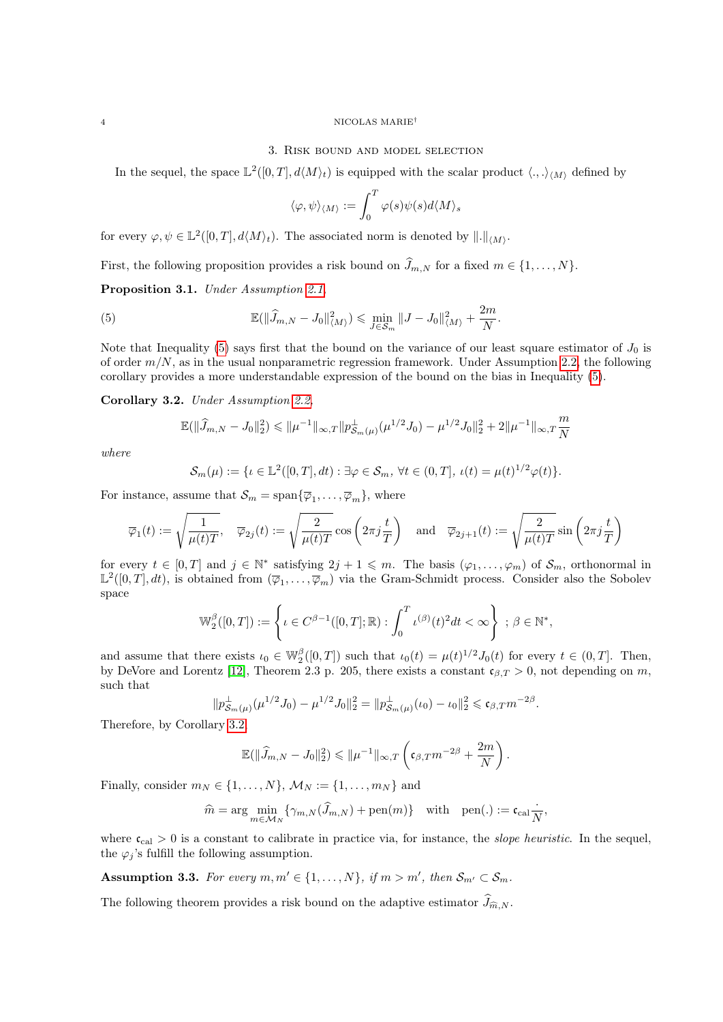#### <span id="page-3-0"></span> $4\,$  MICOLAS MARIE $^\dagger$

## 3. Risk bound and model selection

In the sequel, the space  $\mathbb{L}^2([0,T], d\langle M\rangle_t)$  is equipped with the scalar product  $\langle.,.\rangle_{\langle M\rangle}$  defined by

<span id="page-3-3"></span>
$$
\langle \varphi, \psi \rangle_{\langle M \rangle} := \int_0^T \varphi(s) \psi(s) d\langle M \rangle_s
$$

for every  $\varphi, \psi \in \mathbb{L}^2([0,T], d\langle M \rangle_t)$ . The associated norm is denoted by  $\|.\|_{\langle M \rangle}$ .

First, the following proposition provides a risk bound on  $\widehat{J}_{m,N}$  for a fixed  $m \in \{1, \ldots, N\}$ .

<span id="page-3-1"></span>Proposition 3.1. Under Assumption 2.1.

(5) 
$$
\mathbb{E}(\|\widehat{J}_{m,N} - J_0\|_{\langle M \rangle}^2) \leq \min_{J \in \mathcal{S}_m} \|J - J_0\|_{\langle M \rangle}^2 + \frac{2m}{N}.
$$

Note that Inequality [\(5\)](#page-3-3) says first that the bound on the variance of our least square estimator of  $J_0$  is of order  $m/N$ , as in the usual nonparametric regression framework. Under Assumption [2.2,](#page-2-5) the following corollary provides a more understandable expression of the bound on the bias in Inequality [\(5\)](#page-3-3).

<span id="page-3-2"></span>Corollary 3.2. Under Assumption [2.2,](#page-2-5)

$$
\mathbb{E}(\|\widehat{J}_{m,N} - J_0\|_2^2) \leq \|\mu^{-1}\|_{\infty,T} \|p_{\mathcal{S}_m(\mu)}^{\perp}(\mu^{1/2} J_0) - \mu^{1/2} J_0\|_2^2 + 2\|\mu^{-1}\|_{\infty,T} \frac{m}{N}
$$

where

$$
\mathcal{S}_m(\mu) := \{ \iota \in \mathbb{L}^2([0,T],dt) : \exists \varphi \in \mathcal{S}_m, \forall t \in (0,T], \, \iota(t) = \mu(t)^{1/2} \varphi(t) \}.
$$

For instance, assume that  $\mathcal{S}_m = \text{span}\{\overline{\varphi}_1, \ldots, \overline{\varphi}_m\}$ , where

$$
\overline{\varphi}_1(t):=\sqrt{\frac{1}{\mu(t)T}},\quad \overline{\varphi}_{2j}(t):=\sqrt{\frac{2}{\mu(t)T}}\cos\left(2\pi j\frac{t}{T}\right)\quad \text{and}\quad \overline{\varphi}_{2j+1}(t):=\sqrt{\frac{2}{\mu(t)T}}\sin\left(2\pi j\frac{t}{T}\right)
$$

for every  $t \in [0,T]$  and  $j \in \mathbb{N}^*$  satisfying  $2j+1 \leqslant m$ . The basis  $(\varphi_1,\ldots,\varphi_m)$  of  $\mathcal{S}_m$ , orthonormal in  $\mathbb{L}^2([0,T],dt)$ , is obtained from  $(\overline{\varphi}_1,\ldots,\overline{\varphi}_m)$  via the Gram-Schmidt process. Consider also the Sobolev space

$$
\mathbb{W}_{2}^{\beta}([0,T]) := \left\{ \iota \in C^{\beta - 1}([0,T]; \mathbb{R}) : \int_{0}^{T} \iota^{(\beta)}(t)^{2} dt < \infty \right\} ; \beta \in \mathbb{N}^{*},
$$

and assume that there exists  $\iota_0 \in \mathbb{W}_2^{\beta}([0,T])$  such that  $\iota_0(t) = \mu(t)^{1/2} J_0(t)$  for every  $t \in (0,T]$ . Then, by DeVore and Lorentz [\[12\]](#page-15-19), Theorem 2.3 p. 205, there exists a constant  $\mathfrak{c}_{\beta,T} > 0$ , not depending on m, such that

$$
\|p_{\mathcal{S}_m(\mu)}^{\perp}(\mu^{1/2}J_0) - \mu^{1/2}J_0\|_2^2 = \|p_{\mathcal{S}_m(\mu)}^{\perp}(\iota_0) - \iota_0\|_2^2 \leq \mathfrak{c}_{\beta,T}m^{-2\beta}.
$$

Therefore, by Corollary [3.2,](#page-3-2)

$$
\mathbb{E}(\|\widehat{J}_{m,N} - J_0\|_2^2) \leq \|\mu^{-1}\|_{\infty,T} \left(\mathfrak{c}_{\beta,T} m^{-2\beta} + \frac{2m}{N}\right).
$$

Finally, consider  $m_N \in \{1, ..., N\}$ ,  $\mathcal{M}_N := \{1, ..., m_N\}$  and

$$
\widehat{m} = \arg\min_{m\in\mathcal{M}_N}\{\gamma_{m,N}(\widehat{J}_{m,N}) + \text{pen}(m)\} \quad \text{with} \quad \text{pen}(.) := \mathfrak{c}_{\text{cal}}\frac{\cdot}{N},
$$

where  $c_{\text{cal}} > 0$  is a constant to calibrate in practice via, for instance, the *slope heuristic*. In the sequel, the  $\varphi_i$ 's fulfill the following assumption.

<span id="page-3-4"></span>**Assumption 3.3.** For every  $m, m' \in \{1, ..., N\}$ , if  $m > m'$ , then  $S_{m'} \subset S_m$ .

The following theorem provides a risk bound on the adaptive estimator  $\widehat{J}_{\widehat{m},N}$ .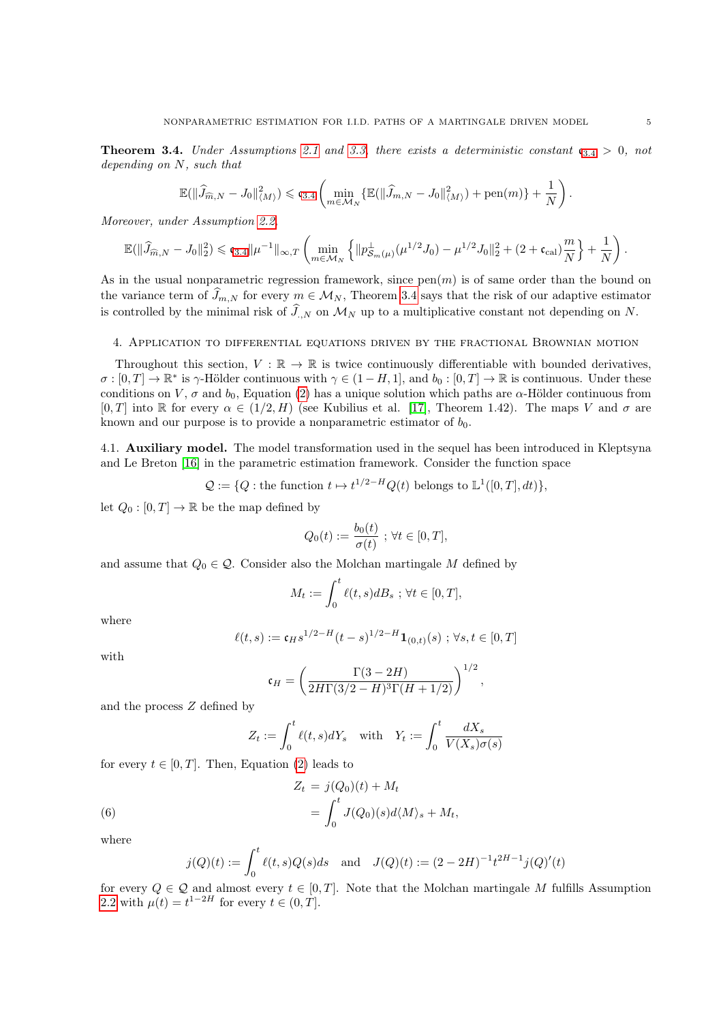<span id="page-4-2"></span>**Theorem [3](#page-4-2).4.** Under Assumptions [2.1](#page-2-4) and [3.3,](#page-3-4) there exists a deterministic constant  $c_{3,4} > 0$ , not depending on N, such that

$$
\mathbb{E}(\|\widehat{J}_{\widehat{m},N} - J_0\|_{\langle M \rangle}^2) \leqslant \mathfrak{c}_{3.4} \left( \min_{m \in \mathcal{M}_N} \{ \mathbb{E}(\|\widehat{J}_{m,N} - J_0\|_{\langle M \rangle}^2) + \text{pen}(m) \} + \frac{1}{N} \right).
$$

Moreover, under Assumption [2.2,](#page-2-5)

$$
\mathbb{E}(\|\widehat{J}_{\widehat{m},N} - J_0\|_2^2) \leqslant \mathfrak{c}_{3.4} \|\mu^{-1}\|_{\infty,T} \left( \min_{m \in \mathcal{M}_N} \left\{ \|p_{\mathcal{S}_m(\mu)}^{\perp}( \mu^{1/2} J_0) - \mu^{1/2} J_0\|_2^2 + (2 + \mathfrak{c}_{\text{cal}}) \frac{m}{N} \right\} + \frac{1}{N} \right).
$$

As in the usual nonparametric regression framework, since  $pen(m)$  is of same order than the bound on the variance term of  $\tilde{J}_{m,N}$  for every  $m \in \mathcal{M}_N$ , Theorem [3.4](#page-4-2) says that the risk of our adaptive estimator is controlled by the minimal risk of  $\widehat{J}_{N}$  on  $\mathcal{M}_{N}$  up to a multiplicative constant not depending on N.

## <span id="page-4-0"></span>4. Application to differential equations driven by the fractional Brownian motion

Throughout this section,  $V : \mathbb{R} \to \mathbb{R}$  is twice continuously differentiable with bounded derivatives,  $\sigma:[0,T]\to\mathbb{R}^*$  is  $\gamma$ -Hölder continuous with  $\gamma\in(1-H,1]$ , and  $b_0:[0,T]\to\mathbb{R}$  is continuous. Under these conditions on V,  $\sigma$  and  $b_0$ , Equation [\(2\)](#page-1-0) has a unique solution which paths are  $\alpha$ -Hölder continuous from  $[0, T]$  into R for every  $\alpha \in (1/2, H)$  (see Kubilius et al. [\[17\]](#page-15-20), Theorem 1.42). The maps V and  $\sigma$  are known and our purpose is to provide a nonparametric estimator of  $b_0$ .

<span id="page-4-1"></span>4.1. Auxiliary model. The model transformation used in the sequel has been introduced in Kleptsyna and Le Breton [\[16\]](#page-15-21) in the parametric estimation framework. Consider the function space

 $\mathcal{Q} := \{Q : \text{the function } t \mapsto t^{1/2-H}Q(t) \text{ belongs to } \mathbb{L}^1([0,T], dt)\},\$ 

let  $Q_0: [0, T] \to \mathbb{R}$  be the map defined by

$$
Q_0(t) := \frac{b_0(t)}{\sigma(t)} \; ; \; \forall t \in [0, T],
$$

and assume that  $Q_0 \in \mathcal{Q}$ . Consider also the Molchan martingale M defined by

$$
M_t := \int_0^t \ell(t, s) dB_s \; ; \, \forall t \in [0, T],
$$

where

$$
\ell(t,s) := \mathfrak{c}_H s^{1/2-H} (t-s)^{1/2-H} \mathbf{1}_{(0,t)}(s) ; \forall s, t \in [0,T]
$$

with

$$
\mathfrak{c}_H = \left(\frac{\Gamma(3-2H)}{2H\Gamma(3/2-H)^3\Gamma(H+1/2)}\right)^{1/2},
$$

and the process Z defined by

<span id="page-4-3"></span>
$$
Z_t := \int_0^t \ell(t,s)dY_s \quad \text{with} \quad Y_t := \int_0^t \frac{dX_s}{V(X_s)\sigma(s)}
$$

for every  $t \in [0, T]$ . Then, Equation [\(2\)](#page-1-0) leads to

(6) 
$$
Z_t = j(Q_0)(t) + M_t
$$

$$
= \int_0^t J(Q_0)(s) d\langle M \rangle_s + M_t,
$$

where

$$
j(Q)(t) := \int_0^t \ell(t, s)Q(s)ds \text{ and } J(Q)(t) := (2 - 2H)^{-1}t^{2H-1}j(Q)'(t)
$$

for every  $Q \in \mathcal{Q}$  and almost every  $t \in [0, T]$ . Note that the Molchan martingale M fulfills Assumption [2.2](#page-2-5) with  $\mu(t) = t^{1-2H}$  for every  $t \in (0, T]$ .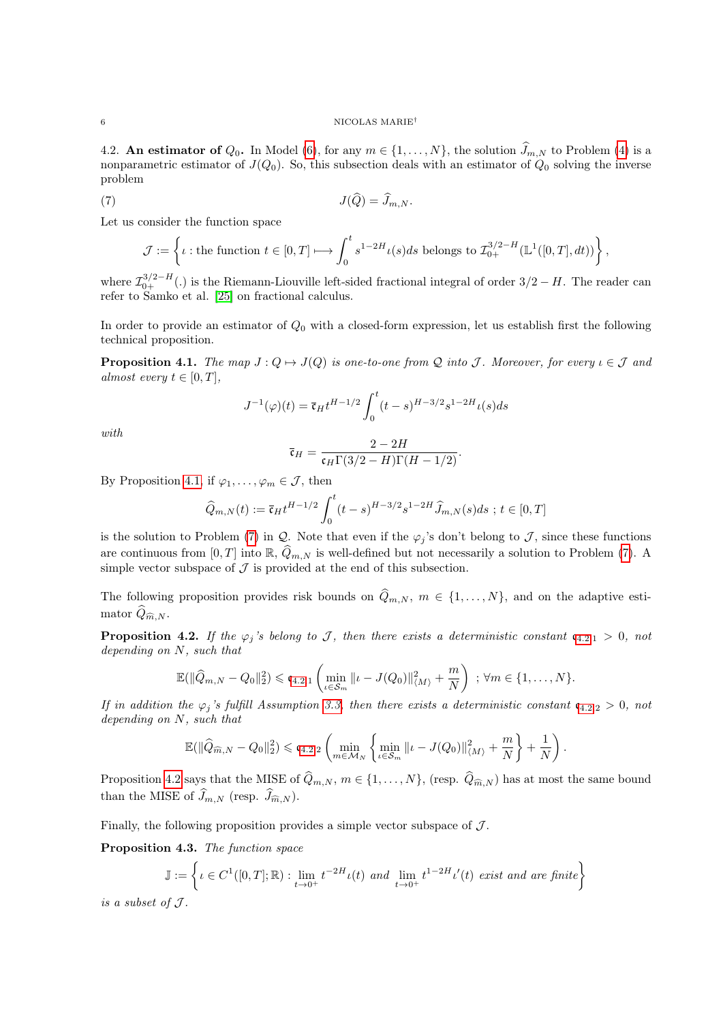#### 6 NICOLAS MARIE†

<span id="page-5-0"></span>4.2. An estimator of  $Q_0$ . In Model [\(6\)](#page-4-3), for any  $m \in \{1, \ldots, N\}$ , the solution  $\widehat{J}_{m,N}$  to Problem [\(4\)](#page-2-3) is a nonparametric estimator of  $J(Q_0)$ . So, this subsection deals with an estimator of  $Q_0$  solving the inverse problem

$$
J(\widehat{Q}) = \widehat{J}_{m,N}.
$$

Let us consider the function space

<span id="page-5-4"></span>
$$
\mathcal{J}:=\left\{\iota: \text{the function } t\in [0,T]\longmapsto \int_0^t s^{1-2H}\iota(s)ds \text{ belongs to } \mathcal{I}_{0+}^{3/2-H}(\mathbb{L}^1([0,T],dt))\right\},\,
$$

where  $\mathcal{I}_{0+}^{3/2-H}(.)$  is the Riemann-Liouville left-sided fractional integral of order  $3/2-H$ . The reader can refer to Samko et al. [\[25\]](#page-15-22) on fractional calculus.

In order to provide an estimator of  $Q_0$  with a closed-form expression, let us establish first the following technical proposition.

<span id="page-5-1"></span>**Proposition 4.1.** The map  $J: Q \mapsto J(Q)$  is one-to-one from Q into J. Moreover, for every  $\iota \in \mathcal{J}$  and almost every  $t \in [0, T]$ ,

$$
J^{-1}(\varphi)(t) = \bar{\mathfrak{c}}_H t^{H-1/2} \int_0^t (t-s)^{H-3/2} s^{1-2H} \iota(s) ds
$$

with

$$
\bar{\mathfrak{c}}_H = \frac{2 - 2H}{\mathfrak{c}_H \Gamma(3/2 - H) \Gamma(H - 1/2)}.
$$

By Proposition [4.1,](#page-5-1) if  $\varphi_1, \ldots, \varphi_m \in \mathcal{J}$ , then

$$
\widehat{Q}_{m,N}(t) := \overline{\mathfrak{c}}_H t^{H-1/2} \int_0^t (t-s)^{H-3/2} s^{1-2H} \widehat{J}_{m,N}(s) ds \; ; \; t \in [0,T]
$$

is the solution to Problem [\(7\)](#page-5-4) in Q. Note that even if the  $\varphi_j$ 's don't belong to J, since these functions are continuous from [0, T] into  $\mathbb{R}$ ,  $\widehat{Q}_{m,N}$  is well-defined but not necessarily a solution to Problem [\(7\)](#page-5-4). A simple vector subspace of  $\mathcal J$  is provided at the end of this subsection.

The following proposition provides risk bounds on  $\hat{Q}_{m,N}$ ,  $m \in \{1, ..., N\}$ , and on the adaptive estimator  $\widehat{Q}_{\widehat{m},N}$ .

<span id="page-5-2"></span>**Proposition [4](#page-5-2).2.** If the  $\varphi_j$ 's belong to J, then there exists a deterministic constant  $\mathfrak{c}_{4,2,1} > 0$ , not depending on N, such that

$$
\mathbb{E}(\|\widehat{Q}_{m,N} - Q_0\|_2^2) \leqslant \mathfrak{c}_{4.2,1} \left( \min_{\iota \in \mathcal{S}_m} \|\iota - J(Q_0)\|_{\langle M \rangle}^2 + \frac{m}{N} \right) ; \ \forall m \in \{1,\ldots,N\}.
$$

If in addition the  $\varphi_j$ 's fulfill Assumption [3.3,](#page-3-4) then there exists a deterministic constant  $\mathfrak{c}_{4.2,2} > 0$  $\mathfrak{c}_{4.2,2} > 0$  $\mathfrak{c}_{4.2,2} > 0$ , not depending on N, such that

$$
\mathbb{E}(\|\widehat{Q}_{\widehat{m},N} - Q_0\|_2^2) \leqslant \mathfrak{c}_{4.2,2} \left( \min_{m \in \mathcal{M}_N} \left\{ \min_{\iota \in \mathcal{S}_m} \Vert \iota - J(Q_0) \Vert_{\langle M \rangle}^2 + \frac{m}{N} \right\} + \frac{1}{N} \right).
$$

Proposition [4.2](#page-5-2) says that the MISE of  $\widehat{Q}_{m,N}$ ,  $m \in \{1, ..., N\}$ , (resp.  $\widehat{Q}_{\widehat{m},N}$ ) has at most the same bound than the MISE of  $\widehat{J}_{m,N}$  (resp.  $\widehat{J}_{\widehat{m},N}$ ).

Finally, the following proposition provides a simple vector subspace of  $\mathcal{J}$ .

<span id="page-5-3"></span>Proposition 4.3. The function space

$$
\mathbb{J} := \left\{ \iota \in C^1([0,T];\mathbb{R}) : \lim_{t \to 0^+} t^{-2H} \iota(t) \text{ and } \lim_{t \to 0^+} t^{1-2H} \iota'(t) \text{ exist and are finite} \right\}
$$

is a subset of  $J$ .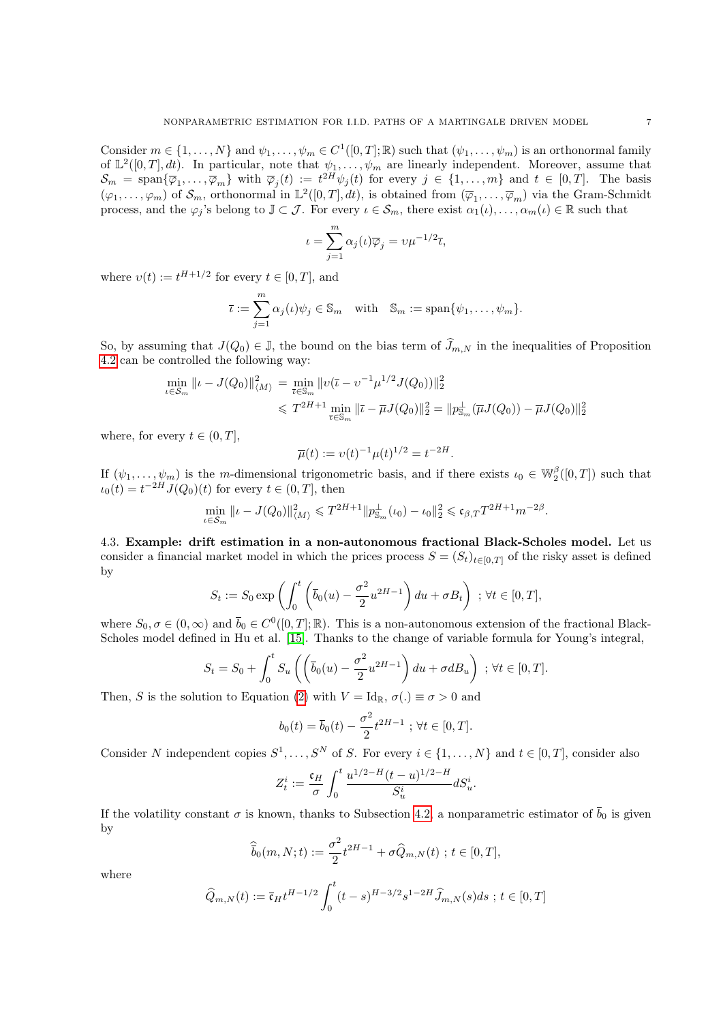Consider  $m \in \{1, ..., N\}$  and  $\psi_1, ..., \psi_m \in C^1([0, T]; \mathbb{R})$  such that  $(\psi_1, ..., \psi_m)$  is an orthonormal family of  $\mathbb{L}^2([0,T], dt)$ . In particular, note that  $\psi_1, \ldots, \psi_m$  are linearly independent. Moreover, assume that  $\mathcal{S}_m = \text{span}\{\overline{\varphi}_1,\ldots,\overline{\varphi}_m\}$  with  $\overline{\varphi}_j(t) := t^{2H}\psi_j(t)$  for every  $j \in \{1,\ldots,m\}$  and  $t \in [0,T]$ . The basis  $(\varphi_1,\ldots,\varphi_m)$  of  $\mathcal{S}_m$ , orthonormal in  $\mathbb{L}^2([0,T],dt)$ , is obtained from  $(\overline{\varphi}_1,\ldots,\overline{\varphi}_m)$  via the Gram-Schmidt process, and the  $\varphi_j$ 's belong to  $\mathbb{J} \subset \mathcal{J}$ . For every  $\iota \in \mathcal{S}_m$ , there exist  $\alpha_1(\iota), \ldots, \alpha_m(\iota) \in \mathbb{R}$  such that

$$
\iota = \sum_{j=1}^{m} \alpha_j(\iota) \overline{\varphi}_j = \nu \mu^{-1/2} \overline{\iota},
$$

where  $v(t) := t^{H+1/2}$  for every  $t \in [0, T]$ , and

$$
\bar{\iota} := \sum_{j=1}^m \alpha_j(\iota)\psi_j \in \mathbb{S}_m \quad \text{with} \quad \mathbb{S}_m := \text{span}\{\psi_1, \dots, \psi_m\}.
$$

So, by assuming that  $J(Q_0) \in \mathbb{J}$ , the bound on the bias term of  $\widehat{J}_{m,N}$  in the inequalities of Proposition [4.2](#page-5-2) can be controlled the following way:

$$
\min_{\iota \in S_m} ||\iota - J(Q_0)||_{\langle M \rangle}^2 = \min_{\overline{\iota} \in \mathbb{S}_m} ||\nu(\overline{\iota} - \nu^{-1} \mu^{1/2} J(Q_0))||_2^2
$$
  

$$
\leq T^{2H+1} \min_{\overline{\iota} \in \mathbb{S}_m} ||\overline{\iota} - \overline{\mu} J(Q_0)||_2^2 = ||p_{\mathbb{S}_m}^\perp(\overline{\mu} J(Q_0)) - \overline{\mu} J(Q_0)||_2^2
$$

where, for every  $t \in (0, T]$ ,

$$
\overline{\mu}(t) := \nu(t)^{-1} \mu(t)^{1/2} = t^{-2H}.
$$

If  $(\psi_1,\ldots,\psi_m)$  is the *m*-dimensional trigonometric basis, and if there exists  $\iota_0 \in \mathbb{W}_2^{\beta}([0,T])$  such that  $u_0(t) = t^{-2H} J(Q_0)(t)$  for every  $t \in (0, T]$ , then

$$
\min_{\iota \in S_m} \| \iota - J(Q_0) \|_{\langle M \rangle}^2 \leq T^{2H+1} \| p_{\mathbb{S}_m}^{\perp}(\iota_0) - \iota_0 \|_2^2 \leq \mathfrak{c}_{\beta,T} T^{2H+1} m^{-2\beta}.
$$

<span id="page-6-0"></span>4.3. Example: drift estimation in a non-autonomous fractional Black-Scholes model. Let us consider a financial market model in which the prices process  $S = (S_t)_{t \in [0,T]}$  of the risky asset is defined by

$$
S_t := S_0 \exp\left(\int_0^t \left(\overline{b}_0(u) - \frac{\sigma^2}{2} u^{2H-1}\right) du + \sigma B_t\right) \; ; \; \forall t \in [0, T],
$$

where  $S_0, \sigma \in (0, \infty)$  and  $\bar{b}_0 \in C^0([0, T]; \mathbb{R})$ . This is a non-autonomous extension of the fractional Black-Scholes model defined in Hu et al. [\[15\]](#page-15-0). Thanks to the change of variable formula for Young's integral,

$$
S_t = S_0 + \int_0^t S_u \left( \left( \overline{b}_0(u) - \frac{\sigma^2}{2} u^{2H-1} \right) du + \sigma d B_u \right) ; \forall t \in [0, T].
$$

Then, S is the solution to Equation [\(2\)](#page-1-0) with  $V = Id_{\mathbb{R}}$ ,  $\sigma(.) \equiv \sigma > 0$  and

$$
b_0(t) = \bar{b}_0(t) - \frac{\sigma^2}{2} t^{2H-1} \; ; \; \forall t \in [0, T].
$$

Consider N independent copies  $S^1, \ldots, S^N$  of S. For every  $i \in \{1, \ldots, N\}$  and  $t \in [0, T]$ , consider also

$$
Z_t^i := \frac{{\mathfrak c}_H}{\sigma} \int_0^t \frac{u^{1/2-H} (t-u)^{1/2-H}}{S_u^i} dS_u^i.
$$

If the volatility constant  $\sigma$  is known, thanks to Subsection [4.2,](#page-5-0) a nonparametric estimator of  $\bar{b}_0$  is given by

$$
\widehat{b}_0(m, N; t) := \frac{\sigma^2}{2} t^{2H-1} + \sigma \widehat{Q}_{m, N}(t) \; ; \; t \in [0, T],
$$

where

$$
\widehat{Q}_{m,N}(t) := \overline{\mathfrak{c}}_H t^{H-1/2} \int_0^t (t-s)^{H-3/2} s^{1-2H} \widehat{J}_{m,N}(s) ds \; ; \; t \in [0, T]
$$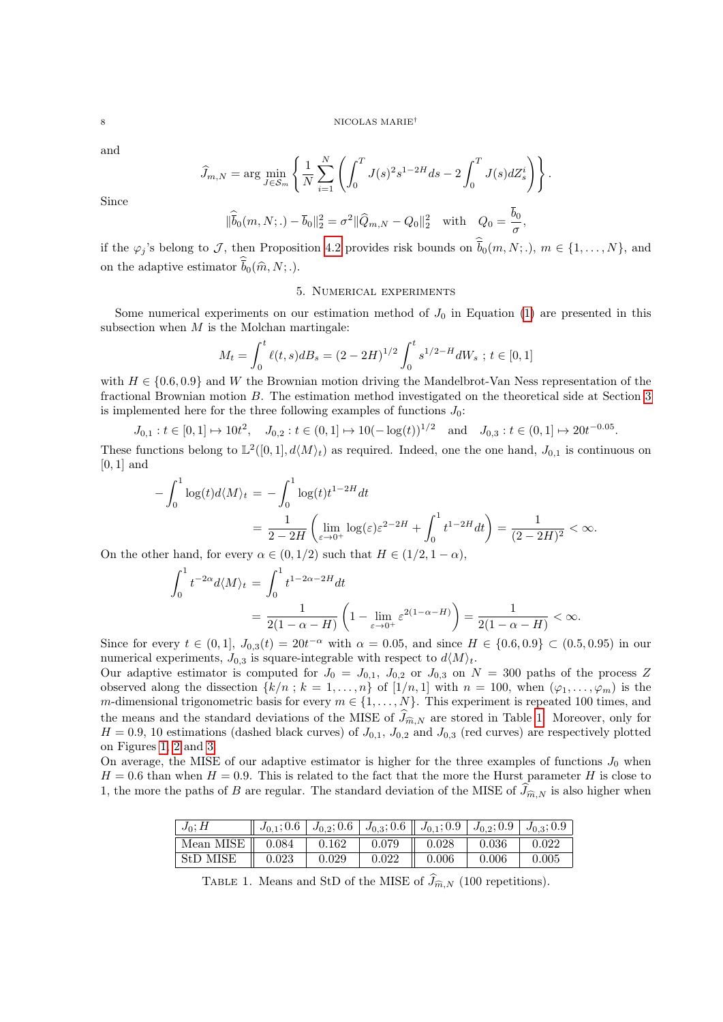and

Since

$$
\widehat{J}_{m,N} = \arg \min_{J \in \mathcal{S}_m} \left\{ \frac{1}{N} \sum_{i=1}^N \left( \int_0^T J(s)^2 s^{1-2H} ds - 2 \int_0^T J(s) dZ_s^i \right) \right\}.
$$
  

$$
\|\widehat{\overline{b}}_0(m, N;.) - \overline{b}_0\|_2^2 = \sigma^2 \|\widehat{Q}_{m,N} - Q_0\|_2^2 \quad \text{with} \quad Q_0 = \frac{\overline{b}_0}{\sigma},
$$

if the  $\varphi_j$ 's belong to J, then Proposition [4.2](#page-5-2) provides risk bounds on  $b_0(m, N; .)$ ,  $m \in \{1, ..., N\}$ , and on the adaptive estimator  $b_0(\hat{m}, N; .)$ .

### 5. Numerical experiments

<span id="page-7-0"></span>Some numerical experiments on our estimation method of  $J_0$  in Equation [\(1\)](#page-1-1) are presented in this subsection when  $M$  is the Molchan martingale:

$$
M_t = \int_0^t \ell(t, s) dB_s = (2 - 2H)^{1/2} \int_0^t s^{1/2 - H} dW_s \; ; \; t \in [0, 1]
$$

with  $H \in \{0.6, 0.9\}$  and W the Brownian motion driving the Mandelbrot-Van Ness representation of the fractional Brownian motion B. The estimation method investigated on the theoretical side at Section [3](#page-3-0) is implemented here for the three following examples of functions  $J_0$ :

 $J_{0,1}: t \in [0,1] \mapsto 10t^2$ ,  $J_{0,2}: t \in (0,1] \mapsto 10(-\log(t))^{1/2}$  and  $J_{0,3}: t \in (0,1] \mapsto 20t^{-0.05}$ .

These functions belong to  $\mathbb{L}^2([0,1], d\langle M\rangle_t)$  as required. Indeed, one the one hand,  $J_{0,1}$  is continuous on  $[0, 1]$  and

$$
-\int_0^1 \log(t) d\langle M \rangle_t = -\int_0^1 \log(t) t^{1-2H} dt
$$
  
=  $\frac{1}{2 - 2H} \left( \lim_{\varepsilon \to 0^+} \log(\varepsilon) \varepsilon^{2-2H} + \int_0^1 t^{1-2H} dt \right) = \frac{1}{(2 - 2H)^2} < \infty.$ 

On the other hand, for every  $\alpha \in (0, 1/2)$  such that  $H \in (1/2, 1-\alpha)$ ,

$$
\int_0^1 t^{-2\alpha} d\langle M \rangle_t = \int_0^1 t^{1-2\alpha-2H} dt
$$
  
= 
$$
\frac{1}{2(1-\alpha-H)} \left(1 - \lim_{\varepsilon \to 0^+} \varepsilon^{2(1-\alpha-H)}\right) = \frac{1}{2(1-\alpha-H)} < \infty.
$$

Since for every  $t \in (0,1], J_{0,3}(t) = 20t^{-\alpha}$  with  $\alpha = 0.05$ , and since  $H \in \{0.6, 0.9\} \subset (0.5, 0.95)$  in our numerical experiments,  $J_{0,3}$  is square-integrable with respect to  $d\langle M \rangle_t$ .

Our adaptive estimator is computed for  $J_0 = J_{0,1}$ ,  $J_{0,2}$  or  $J_{0,3}$  on  $N = 300$  paths of the process Z observed along the dissection  $\{k/n : k = 1, \ldots, n\}$  of  $[1/n, 1]$  with  $n = 100$ , when  $(\varphi_1, \ldots, \varphi_m)$  is the m-dimensional trigonometric basis for every  $m \in \{1, ..., N\}$ . This experiment is repeated 100 times, and the means and the standard deviations of the MISE of  $\widehat{J}_{\widehat{m},N}$  are stored in Table [1.](#page-7-1) Moreover, only for  $H = 0.9, 10$  estimations (dashed black curves) of  $J_{0,1}$ ,  $J_{0,2}$  and  $J_{0,3}$  (red curves) are respectively plotted on Figures [1,](#page-8-2) [2](#page-8-3) and [3.](#page-9-0)

On average, the MISE of our adaptive estimator is higher for the three examples of functions  $J_0$  when  $H = 0.6$  than when  $H = 0.9$ . This is related to the fact that the more the Hurst parameter H is close to 1, the more the paths of B are regular. The standard deviation of the MISE of  $\widehat{J}_{\widehat{m},N}$  is also higher when

| $J_0; H$                    |       |       |       | $\mid J_{0,1}; 0.6 \mid J_{0,2}; 0.6 \mid J_{0,3}; 0.6 \mid J_{0,1}; 0.9 \mid J_{0,2}; 0.9 \mid J_{0,3}; 0.9 \mid$ |       |       |
|-----------------------------|-------|-------|-------|--------------------------------------------------------------------------------------------------------------------|-------|-------|
| Mean MISE $\parallel$ 0.084 |       | 0.162 | 0.079 | 0.028                                                                                                              | 0.036 | 0.022 |
| StD MISE                    | 0.023 | 0.029 | 0.022 | 0.006                                                                                                              | 0.006 | 0.005 |

<span id="page-7-1"></span>TABLE 1. Means and StD of the MISE of  $\widehat{J}_{\widehat{m},N}$  (100 repetitions).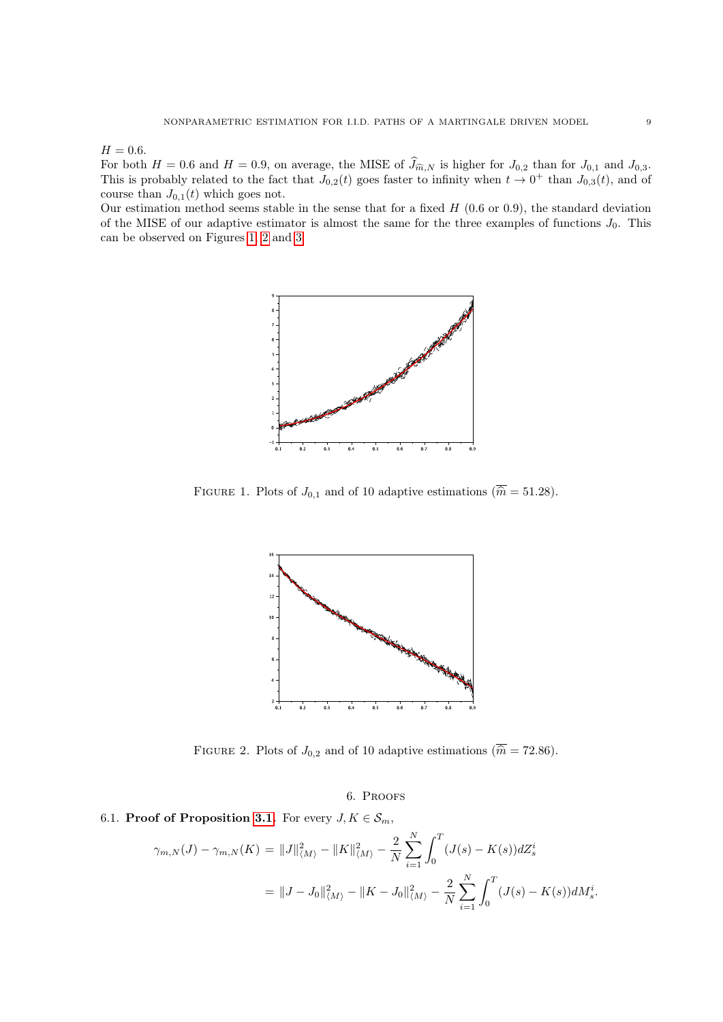$H = 0.6.$ 

For both  $H = 0.6$  and  $H = 0.9$ , on average, the MISE of  $J_{\widehat{m},N}$  is higher for  $J_{0,2}$  than for  $J_{0,1}$  and  $J_{0,3}$ .<br>This is probably related to the fact that  $J_{0,2}(t)$  goes faster to infinity when  $t \to 0^+$  than course than  $J_{0,1}(t)$  which goes not.

Our estimation method seems stable in the sense that for a fixed  $H$  (0.6 or 0.9), the standard deviation of the MISE of our adaptive estimator is almost the same for the three examples of functions  $J_0$ . This can be observed on Figures [1,](#page-8-2) [2](#page-8-3) and [3.](#page-9-0)



<span id="page-8-2"></span>FIGURE 1. Plots of  $J_{0,1}$  and of 10 adaptive estimations  $(\overline{\hat{m}} = 51.28)$ .



<span id="page-8-3"></span>FIGURE 2. Plots of  $J_{0,2}$  and of 10 adaptive estimations ( $\overline{\hat{m}} = 72.86$ ).

6. Proofs

## <span id="page-8-1"></span><span id="page-8-0"></span>6.1. Proof of Proposition [3.1.](#page-3-1) For every  $J, K \in S_m$ ,

$$
\gamma_{m,N}(J) - \gamma_{m,N}(K) = ||J||_{\langle M \rangle}^2 - ||K||_{\langle M \rangle}^2 - \frac{2}{N} \sum_{i=1}^N \int_0^T (J(s) - K(s)) dZ_s^i
$$
  
= 
$$
||J - J_0||_{\langle M \rangle}^2 - ||K - J_0||_{\langle M \rangle}^2 - \frac{2}{N} \sum_{i=1}^N \int_0^T (J(s) - K(s)) dM_s^i.
$$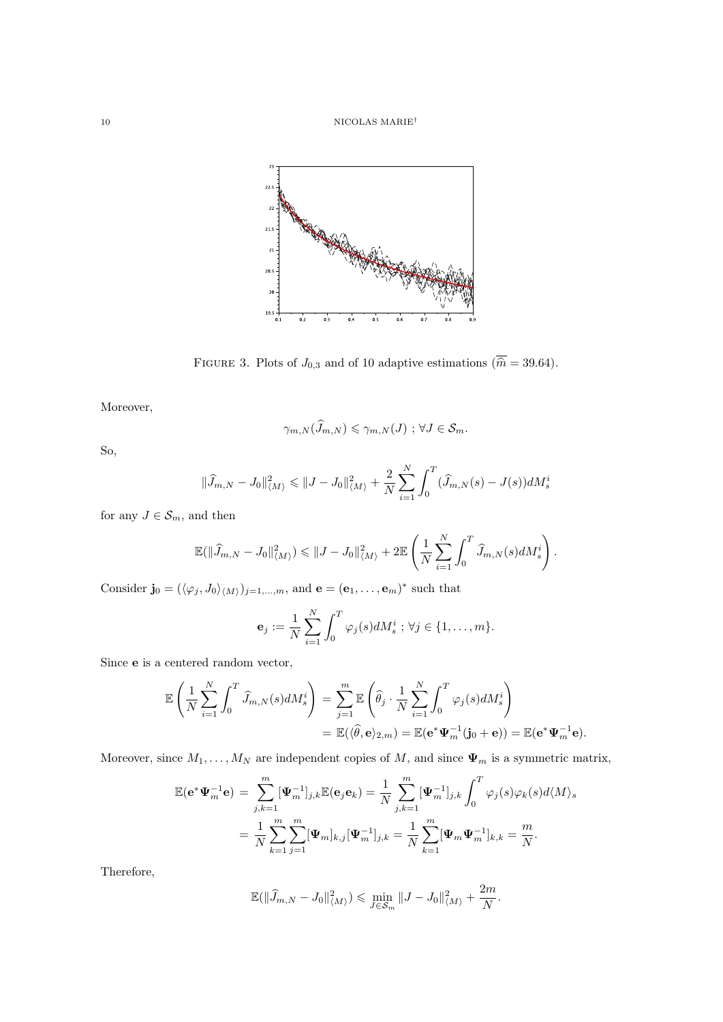

<span id="page-9-0"></span>FIGURE 3. Plots of  $J_{0,3}$  and of 10 adaptive estimations  $(\overline{\hat{m}} = 39.64)$ .

Moreover,

$$
\gamma_{m,N}(\widehat{J}_{m,N}) \leqslant \gamma_{m,N}(J) \, ; \, \forall J \in \mathcal{S}_m.
$$

So,

$$
\|\widehat{J}_{m,N} - J_0\|_{\langle M \rangle}^2 \le \|J - J_0\|_{\langle M \rangle}^2 + \frac{2}{N} \sum_{i=1}^N \int_0^T (\widehat{J}_{m,N}(s) - J(s)) dM_s^i
$$

for any  $J\in \mathcal{S}_m,$  and then

$$
\mathbb{E}(\|\widehat{J}_{m,N} - J_0\|_{\langle M \rangle}^2) \leq \|J - J_0\|_{\langle M \rangle}^2 + 2 \mathbb{E}\left(\frac{1}{N}\sum_{i=1}^N \int_0^T \widehat{J}_{m,N}(s) dM_s^i\right).
$$

Consider  $\mathbf{j}_0 = (\langle \varphi_j, J_0 \rangle_{\langle M \rangle})_{j=1,\dots,m}$ , and  $\mathbf{e} = (\mathbf{e}_1, \dots, \mathbf{e}_m)^*$  such that

$$
\mathbf{e}_{j} := \frac{1}{N} \sum_{i=1}^{N} \int_{0}^{T} \varphi_{j}(s) dM_{s}^{i} \; ; \; \forall j \in \{1, \ldots, m\}.
$$

Since e is a centered random vector,

$$
\mathbb{E}\left(\frac{1}{N}\sum_{i=1}^{N}\int_{0}^{T}\widehat{J}_{m,N}(s)dM_{s}^{i}\right) = \sum_{j=1}^{m}\mathbb{E}\left(\widehat{\theta}_{j}\cdot\frac{1}{N}\sum_{i=1}^{N}\int_{0}^{T}\varphi_{j}(s)dM_{s}^{i}\right)
$$

$$
= \mathbb{E}(\langle\widehat{\theta},\mathbf{e}\rangle_{2,m}) = \mathbb{E}(\mathbf{e}^{*}\Psi_{m}^{-1}(\mathbf{j}_{0}+\mathbf{e})) = \mathbb{E}(\mathbf{e}^{*}\Psi_{m}^{-1}\mathbf{e}).
$$

Moreover, since  $M_1, \ldots, M_N$  are independent copies of M, and since  $\Psi_m$  is a symmetric matrix,

$$
\mathbb{E}(\mathbf{e}^*\mathbf{\Psi}_m^{-1}\mathbf{e}) = \sum_{j,k=1}^m [\mathbf{\Psi}_m^{-1}]_{j,k} \mathbb{E}(\mathbf{e}_j \mathbf{e}_k) = \frac{1}{N} \sum_{j,k=1}^m [\mathbf{\Psi}_m^{-1}]_{j,k} \int_0^T \varphi_j(s) \varphi_k(s) d\langle M \rangle_s
$$
  
= 
$$
\frac{1}{N} \sum_{k=1}^m \sum_{j=1}^m [\mathbf{\Psi}_m]_{k,j} [\mathbf{\Psi}_m^{-1}]_{j,k} = \frac{1}{N} \sum_{k=1}^m [\mathbf{\Psi}_m \mathbf{\Psi}_m^{-1}]_{k,k} = \frac{m}{N}.
$$

Therefore,

$$
\mathbb{E}(\|\widehat{J}_{m,N} - J_0\|_{\langle M \rangle}^2) \leqslant \min_{J \in \mathcal{S}_m} \|J - J_0\|_{\langle M \rangle}^2 + \frac{2m}{N}.
$$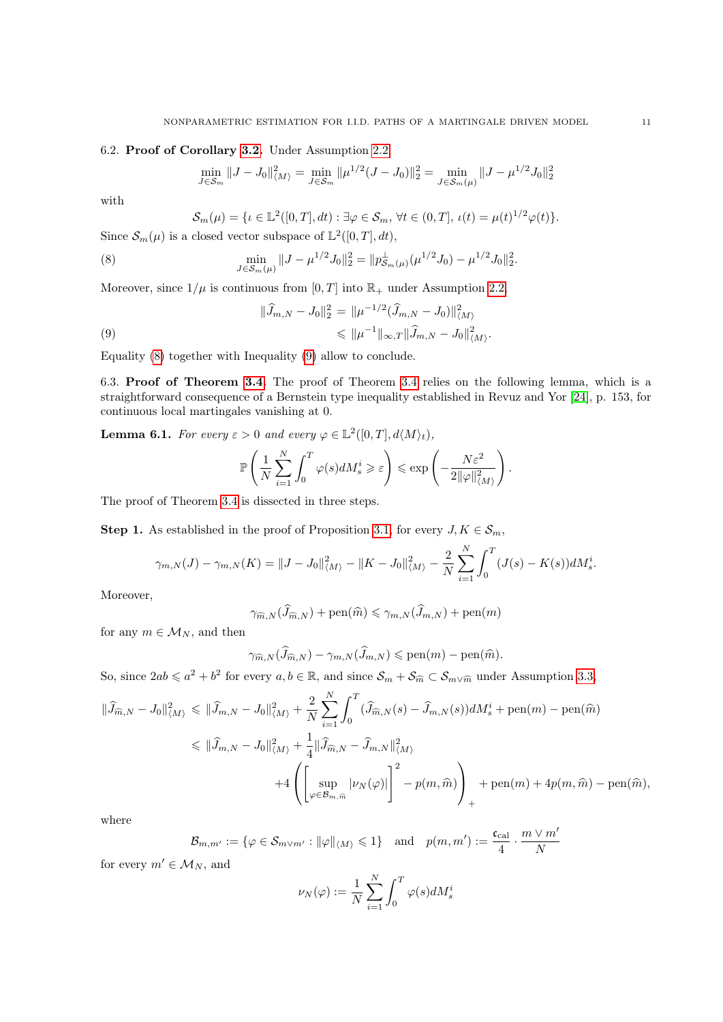## <span id="page-10-0"></span>6.2. Proof of Corollary [3.2.](#page-3-2) Under Assumption [2.2,](#page-2-5)

$$
\min_{J \in S_m} \|J - J_0\|_{\langle M \rangle}^2 = \min_{J \in S_m} \|\mu^{1/2} (J - J_0)\|_2^2 = \min_{J \in S_m(\mu)} \|J - \mu^{1/2} J_0\|_2^2
$$

with

<span id="page-10-3"></span><span id="page-10-2"></span>
$$
\mathcal{S}_m(\mu) = \{ \iota \in \mathbb{L}^2([0,T],dt) : \exists \varphi \in \mathcal{S}_m, \forall t \in (0,T], \, \iota(t) = \mu(t)^{1/2} \varphi(t) \}.
$$

Since  $\mathcal{S}_m(\mu)$  is a closed vector subspace of  $\mathbb{L}^2([0,T], dt)$ ,

(8) 
$$
\min_{J \in \mathcal{S}_m(\mu)} \|J - \mu^{1/2} J_0\|_2^2 = \|p_{\mathcal{S}_m(\mu)}^{\perp}(\mu^{1/2} J_0) - \mu^{1/2} J_0\|_2^2.
$$

Moreover, since  $1/\mu$  is continuous from [0, T] into  $\mathbb{R}_+$  under Assumption [2.2,](#page-2-5)

(9)  
\n
$$
\|\widehat{J}_{m,N} - J_0\|_2^2 = \|\mu^{-1/2}(\widehat{J}_{m,N} - J_0)\|_{\langle M \rangle}^2
$$
\n
$$
\leq \|\mu^{-1}\|_{\infty,T} \|\widehat{J}_{m,N} - J_0\|_{\langle M \rangle}^2.
$$

Equality [\(8\)](#page-10-2) together with Inequality [\(9\)](#page-10-3) allow to conclude.

<span id="page-10-1"></span>6.3. Proof of Theorem [3.4.](#page-4-2) The proof of Theorem [3.4](#page-4-2) relies on the following lemma, which is a straightforward consequence of a Bernstein type inequality established in Revuz and Yor [\[24\]](#page-15-23), p. 153, for continuous local martingales vanishing at 0.

<span id="page-10-4"></span>**Lemma 6.1.** For every  $\varepsilon > 0$  and every  $\varphi \in \mathbb{L}^2([0,T], d\langle M \rangle_t)$ ,

$$
\mathbb{P}\left(\frac{1}{N}\sum_{i=1}^N\int_0^T\varphi(s)dM_s^i\geqslant\varepsilon\right)\leqslant\exp\left(-\frac{N\varepsilon^2}{2\|\varphi\|_{\langle M\rangle}^2}\right)
$$

.

The proof of Theorem [3.4](#page-4-2) is dissected in three steps.

**Step 1.** As established in the proof of Proposition [3.1,](#page-3-1) for every  $J, K \in \mathcal{S}_m$ ,

$$
\gamma_{m,N}(J) - \gamma_{m,N}(K) = ||J - J_0||_{\langle M \rangle}^2 - ||K - J_0||_{\langle M \rangle}^2 - \frac{2}{N} \sum_{i=1}^N \int_0^T (J(s) - K(s)) dM_s^i.
$$

Moreover,

$$
\gamma_{\widehat{m},N}(\widehat{J}_{\widehat{m},N}) + \text{pen}(\widehat{m}) \leq \gamma_{m,N}(\widehat{J}_{m,N}) + \text{pen}(m)
$$

for any  $m \in M_N$ , and then

$$
\gamma_{\widehat{m},N}(\widehat{J}_{\widehat{m},N}) - \gamma_{m,N}(\widehat{J}_{m,N}) \leqslant \text{pen}(m) - \text{pen}(\widehat{m}).
$$

So, since  $2ab \le a^2 + b^2$  for every  $a, b \in \mathbb{R}$ , and since  $\mathcal{S}_m + \mathcal{S}_{\widehat{m}} \subset \mathcal{S}_{m \vee \widehat{m}}$  under Assumption [3.3,](#page-3-4)

$$
\begin{split} \|\widehat{J}_{\widehat{m},N} - J_0\|_{\langle M \rangle}^2 &\leq \|\widehat{J}_{m,N} - J_0\|_{\langle M \rangle}^2 + \frac{2}{N} \sum_{i=1}^N \int_0^T (\widehat{J}_{\widehat{m},N}(s) - \widehat{J}_{m,N}(s)) dM_s^i + \text{pen}(m) - \text{pen}(\widehat{m}) \\ &\leq \|\widehat{J}_{m,N} - J_0\|_{\langle M \rangle}^2 + \frac{1}{4} \|\widehat{J}_{\widehat{m},N} - \widehat{J}_{m,N}\|_{\langle M \rangle}^2 \\ &\qquad \qquad + 4 \left( \left[ \sup_{\varphi \in \mathcal{B}_{m,\widehat{m}}} |\nu_N(\varphi)| \right]^2 - p(m,\widehat{m}) \right)_+ + \text{pen}(m) + 4p(m,\widehat{m}) - \text{pen}(\widehat{m}), \end{split}
$$

where

$$
\mathcal{B}_{m,m'} := \{ \varphi \in \mathcal{S}_{m \vee m'} : ||\varphi||_{\langle M \rangle} \leq 1 \} \text{ and } p(m,m') := \frac{\mathfrak{c}_{\text{cal}}}{4} \cdot \frac{m \vee m'}{N}
$$

for every  $m' \in \mathcal{M}_N$ , and

$$
\nu_N(\varphi):=\frac{1}{N}\sum_{i=1}^N\int_0^T\varphi(s)dM^i_s
$$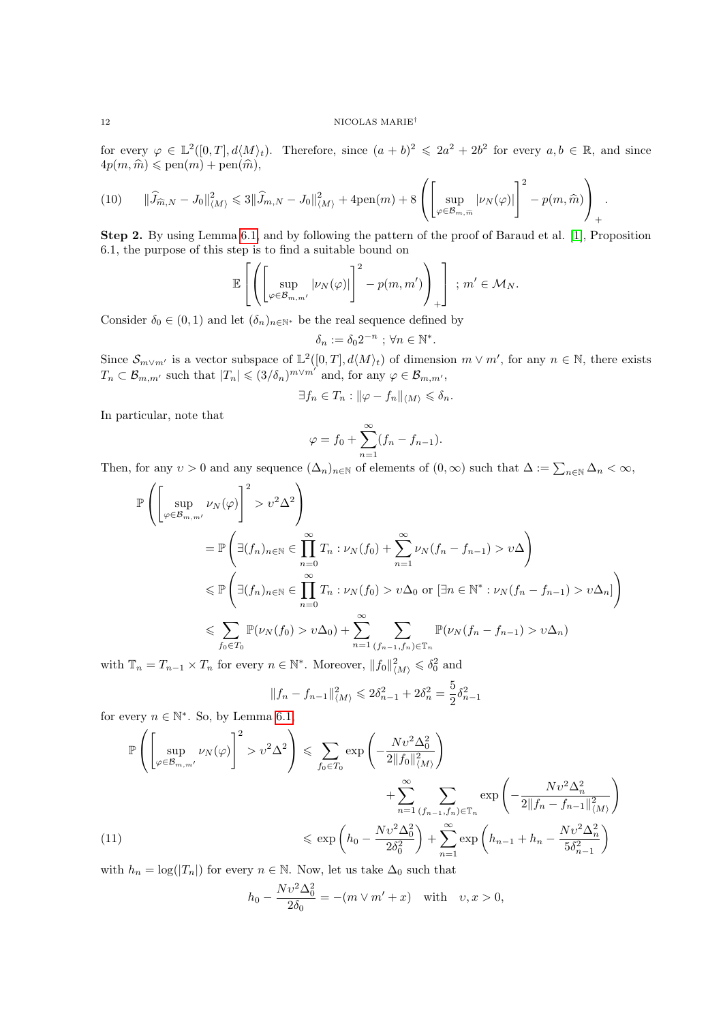#### $12$   $\,$  NICOLAS  $\rm MARIE^{\dagger}$

for every  $\varphi \in L^2([0,T], d\langle M\rangle_t)$ . Therefore, since  $(a+b)^2 \leq 2a^2 + 2b^2$  for every  $a, b \in \mathbb{R}$ , and since  $4p(m, \hat{m}) \leqslant \text{pen}(m) + \text{pen}(\hat{m}),$ 

<span id="page-11-1"></span>
$$
(10) \qquad \|\widehat{J}_{\widehat{m},N} - J_0\|_{\langle M \rangle}^2 \leq 3 \|\widehat{J}_{m,N} - J_0\|_{\langle M \rangle}^2 + 4 \text{pen}(m) + 8 \left( \left[ \sup_{\varphi \in \mathcal{B}_{m,\widehat{m}}} |\nu_N(\varphi)| \right]^2 - p(m,\widehat{m}) \right)_+.
$$

Step 2. By using Lemma [6.1,](#page-10-4) and by following the pattern of the proof of Baraud et al. [\[1\]](#page-15-24), Proposition 6.1, the purpose of this step is to find a suitable bound on

$$
\mathbb{E}\left[\left(\left[\sup_{\varphi\in\mathcal{B}_{m,m'}}|\nu_N(\varphi)|\right]^2-p(m,m')\right)_+\right] \, ; \, m'\in\mathcal{M}_N.
$$

Consider  $\delta_0 \in (0,1)$  and let  $(\delta_n)_{n \in \mathbb{N}^*}$  be the real sequence defined by

$$
\delta_n := \delta_0 2^{-n} \text{ ; } \forall n \in \mathbb{N}^*.
$$

Since  $\mathcal{S}_{m\vee m'}$  is a vector subspace of  $\mathbb{L}^2([0,T], d\langle M\rangle_t)$  of dimension  $m\vee m'$ , for any  $n\in\mathbb{N}$ , there exists  $T_n \subset \mathcal{B}_{m,m'}$  such that  $|T_n| \leqslant (3/\delta_n)^{m \vee m'}$  and, for any  $\varphi \in \mathcal{B}_{m,m'}$ ,

$$
\exists f_n \in T_n : ||\varphi - f_n||_{\langle M \rangle} \leq \delta_n.
$$

In particular, note that

$$
\varphi = f_0 + \sum_{n=1}^{\infty} (f_n - f_{n-1}).
$$

Then, for any  $v > 0$  and any sequence  $(\Delta_n)_{n \in \mathbb{N}}$  of elements of  $(0, \infty)$  such that  $\Delta := \sum_{n \in \mathbb{N}} \Delta_n < \infty$ ,

$$
\mathbb{P}\left(\left[\sup_{\varphi\in\mathcal{B}_{m,m'}}\nu_{N}(\varphi)\right]^{2} > \nu^{2}\Delta^{2}\right)
$$
\n
$$
= \mathbb{P}\left(\exists (f_{n})_{n\in\mathbb{N}} \in \prod_{n=0}^{\infty} T_{n} : \nu_{N}(f_{0}) + \sum_{n=1}^{\infty} \nu_{N}(f_{n} - f_{n-1}) > \nu\Delta\right)
$$
\n
$$
\leq \mathbb{P}\left(\exists (f_{n})_{n\in\mathbb{N}} \in \prod_{n=0}^{\infty} T_{n} : \nu_{N}(f_{0}) > \nu\Delta_{0} \text{ or } [\exists n \in \mathbb{N}^{*} : \nu_{N}(f_{n} - f_{n-1}) > \nu\Delta_{n}]\right)
$$
\n
$$
\leq \sum_{f_{0}\in T_{0}} \mathbb{P}(\nu_{N}(f_{0}) > \nu\Delta_{0}) + \sum_{n=1}^{\infty} \sum_{(f_{n-1},f_{n})\in\mathbb{T}_{n}} \mathbb{P}(\nu_{N}(f_{n} - f_{n-1}) > \nu\Delta_{n})
$$

with  $\mathbb{T}_n = T_{n-1} \times T_n$  for every  $n \in \mathbb{N}^*$ . Moreover,  $||f_0||^2_{\langle M \rangle} \leq \delta_0^2$  and

$$
||f_n - f_{n-1}||_{\langle M \rangle}^2 \le 2\delta_{n-1}^2 + 2\delta_n^2 = \frac{5}{2}\delta_{n-1}^2
$$

for every  $n \in \mathbb{N}^*$ . So, by Lemma [6.1,](#page-10-4)

<span id="page-11-0"></span>
$$
\mathbb{P}\left(\left[\sup_{\varphi\in\mathcal{B}_{m,m'}}\nu_{N}(\varphi)\right]^{2} > \upsilon^{2}\Delta^{2}\right) \leq \sum_{f_{0}\in T_{0}}\exp\left(-\frac{N\upsilon^{2}\Delta_{0}^{2}}{2\|f_{0}\|_{\langle M\rangle}^{2}}\right) \n+ \sum_{n=1}^{\infty}\sum_{(f_{n-1},f_{n})\in\mathbb{T}_{n}}\exp\left(-\frac{N\upsilon^{2}\Delta_{n}^{2}}{2\|f_{n}-f_{n-1}\|_{\langle M\rangle}^{2}}\right) \n\leq \exp\left(h_{0}-\frac{N\upsilon^{2}\Delta_{0}^{2}}{2\delta_{0}^{2}}\right) + \sum_{n=1}^{\infty}\exp\left(h_{n-1}+h_{n}-\frac{N\upsilon^{2}\Delta_{n}^{2}}{5\delta_{n-1}^{2}}\right)
$$

with  $h_n = \log(|T_n|)$  for every  $n \in \mathbb{N}$ . Now, let us take  $\Delta_0$  such that

$$
h_0 - \frac{Nv^2\Delta_0^2}{2\delta_0} = -(m\vee m' + x) \text{ with } v, x > 0,
$$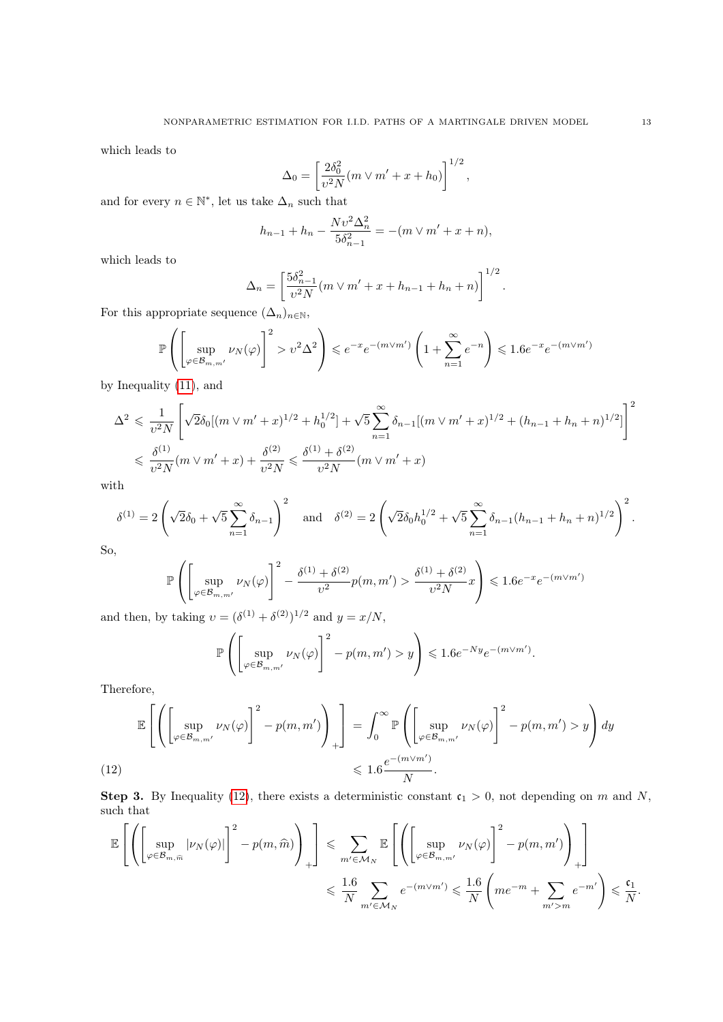which leads to

$$
\Delta_0 = \left[ \frac{2 \delta_0^2}{v^2 N} (m \vee m' + x + h_0) \right]^{1/2},
$$

and for every  $n \in \mathbb{N}^*$ , let us take  $\Delta_n$  such that

$$
h_{n-1} + h_n - \frac{Nv^2 \Delta_n^2}{5\delta_{n-1}^2} = -(m \vee m' + x + n),
$$

which leads to

$$
\Delta_n = \left[ \frac{5\delta_{n-1}^2}{v^2 N} (m \vee m' + x + h_{n-1} + h_n + n) \right]^{1/2}.
$$

For this appropriate sequence  $(\Delta_n)_{n\in\mathbb{N}}$ ,

$$
\mathbb{P}\left(\left[\sup_{\varphi \in \mathcal{B}_{m,m'}} \nu_N(\varphi)\right]^2 > \nu^2 \Delta^2\right) \leqslant e^{-x} e^{-(m \vee m')} \left(1 + \sum_{n=1}^{\infty} e^{-n}\right) \leqslant 1.6 e^{-x} e^{-(m \vee m')}
$$

by Inequality [\(11\)](#page-11-0), and

$$
\Delta^2 \leq \frac{1}{v^2 N} \left[ \sqrt{2} \delta_0 [(m \vee m' + x)^{1/2} + h_0^{1/2}] + \sqrt{5} \sum_{n=1}^{\infty} \delta_{n-1} [(m \vee m' + x)^{1/2} + (h_{n-1} + h_n + n)^{1/2}] \right]^2
$$
  

$$
\leq \frac{\delta^{(1)}}{v^2 N} (m \vee m' + x) + \frac{\delta^{(2)}}{v^2 N} \leq \frac{\delta^{(1)} + \delta^{(2)}}{v^2 N} (m \vee m' + x)
$$

with

$$
\delta^{(1)} = 2\left(\sqrt{2}\delta_0 + \sqrt{5}\sum_{n=1}^{\infty}\delta_{n-1}\right)^2 \quad \text{and} \quad \delta^{(2)} = 2\left(\sqrt{2}\delta_0 h_0^{1/2} + \sqrt{5}\sum_{n=1}^{\infty}\delta_{n-1}(h_{n-1} + h_n + n)^{1/2}\right)^2.
$$

So,

$$
\mathbb{P}\left(\left[\sup_{\varphi\in\mathcal{B}_{m,m'}}\nu_N(\varphi)\right]^2 - \frac{\delta^{(1)} + \delta^{(2)}}{\upsilon^2}p(m,m') > \frac{\delta^{(1)} + \delta^{(2)}}{\upsilon^2 N}x\right) \leq 1.6e^{-x}e^{-(m\vee m')}
$$

and then, by taking  $v = (\delta^{(1)} + \delta^{(2)})^{1/2}$  and  $y = x/N$ ,

$$
\mathbb{P}\left(\left[\sup_{\varphi \in \mathcal{B}_{m,m'}} \nu_N(\varphi)\right]^2 - p(m,m') > y\right) \leq 1.6e^{-Ny}e^{-(m\vee m')}.
$$

Therefore,

<span id="page-12-0"></span>
$$
\mathbb{E}\left[\left(\left[\sup_{\varphi\in\mathcal{B}_{m,m'}}\nu_N(\varphi)\right]^2 - p(m,m')\right)_+\right] = \int_0^\infty \mathbb{P}\left(\left[\sup_{\varphi\in\mathcal{B}_{m,m'}}\nu_N(\varphi)\right]^2 - p(m,m') > y\right)dy
$$
\n
$$
\leq 1.6\frac{e^{-(m\vee m')}}{N}.
$$

**Step 3.** By Inequality [\(12\)](#page-12-0), there exists a deterministic constant  $c_1 > 0$ , not depending on m and N, such that

$$
\mathbb{E}\left[\left(\left[\sup_{\varphi\in\mathcal{B}_{m,\widehat{m}}}|\nu_{N}(\varphi)|\right]^{2}-p(m,\widehat{m})\right)_{+}\right] \leqslant \sum_{m'\in\mathcal{M}_{N}}\mathbb{E}\left[\left(\left[\sup_{\varphi\in\mathcal{B}_{m,m'}}\nu_{N}(\varphi)\right]^{2}-p(m,m')\right)_{+}\right]_{+}
$$
  

$$
\leqslant \frac{1.6}{N}\sum_{m'\in\mathcal{M}_{N}}e^{-(m\vee m')}\leqslant \frac{1.6}{N}\left(me^{-m}+\sum_{m'>m}e^{-m'}\right)\leqslant \frac{\mathfrak{c}_{1}}{N}.
$$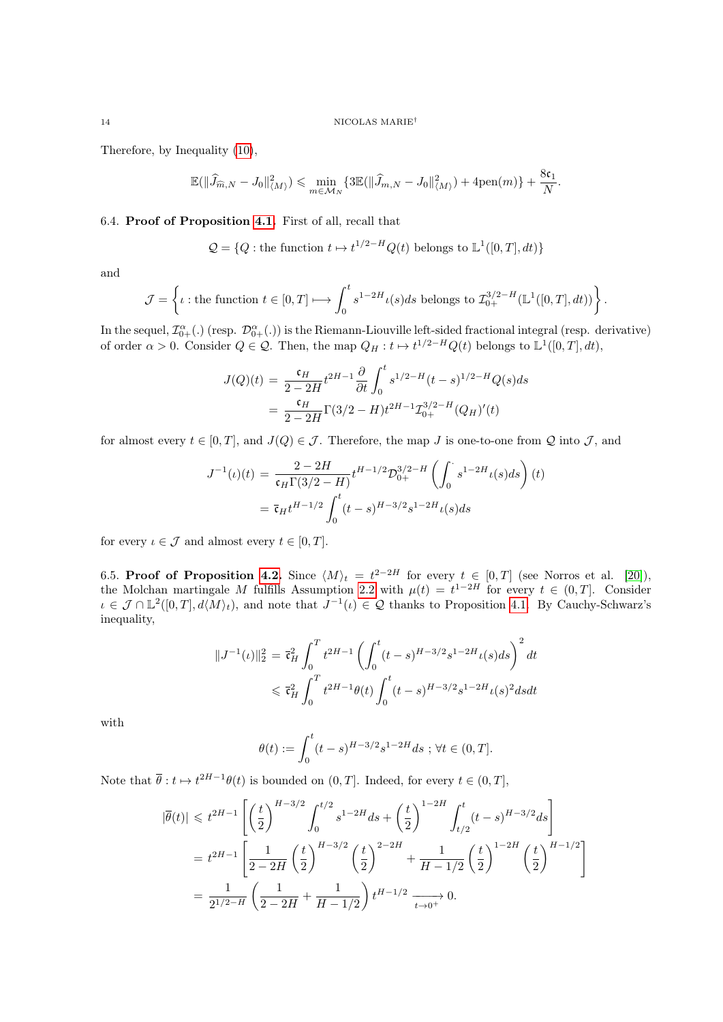Therefore, by Inequality [\(10\)](#page-11-1),

$$
\mathbb{E}(\|\widehat{J}_{\widehat{m},N} - J_0\|_{\langle M \rangle}^2) \leqslant \min_{m \in \mathcal{M}_N} \{3\mathbb{E}(\|\widehat{J}_{m,N} - J_0\|_{\langle M \rangle}^2) + 4\text{pen}(m)\} + \frac{8\mathfrak{c}_1}{N}.
$$

## <span id="page-13-0"></span>6.4. Proof of Proposition [4.1.](#page-5-1) First of all, recall that

 $Q = \{Q : \text{the function } t \mapsto t^{1/2-H}Q(t) \text{ belongs to } L^1([0, T], dt)\}\$ 

and

$$
\mathcal{J} = \left\{ \iota : \text{the function } t \in [0, T] \longmapsto \int_0^t s^{1-2H} \iota(s) ds \text{ belongs to } \mathcal{I}_{0+}^{3/2-H}(\mathbb{L}^1([0, T], dt)) \right\}.
$$

In the sequel,  $\mathcal{I}^{\alpha}_{0+}(.)$  (resp.  $\mathcal{D}^{\alpha}_{0+}(.)$ ) is the Riemann-Liouville left-sided fractional integral (resp. derivative) of order  $\alpha > 0$ . Consider  $Q \in \mathcal{Q}$ . Then, the map  $Q_H : t \mapsto t^{1/2-H}Q(t)$  belongs to  $\mathbb{L}^1([0,T], dt)$ ,

$$
J(Q)(t) = \frac{\mathfrak{c}_H}{2 - 2H} t^{2H - 1} \frac{\partial}{\partial t} \int_0^t s^{1/2 - H} (t - s)^{1/2 - H} Q(s) ds
$$
  
= 
$$
\frac{\mathfrak{c}_H}{2 - 2H} \Gamma(3/2 - H) t^{2H - 1} \mathcal{I}_{0+}^{3/2 - H} (Q_H)'(t)
$$

for almost every  $t \in [0, T]$ , and  $J(Q) \in \mathcal{J}$ . Therefore, the map J is one-to-one from Q into  $\mathcal{J}$ , and

$$
J^{-1}(\iota)(t) = \frac{2 - 2H}{\mathfrak{c}_H \Gamma(3/2 - H)} t^{H - 1/2} \mathcal{D}_{0+}^{3/2 - H} \left( \int_0^{\cdot} s^{1 - 2H} \iota(s) ds \right) (t)
$$
  
=  $\bar{\mathfrak{c}}_H t^{H - 1/2} \int_0^t (t - s)^{H - 3/2} s^{1 - 2H} \iota(s) ds$ 

for every  $\iota \in \mathcal{J}$  and almost every  $t \in [0, T]$ .

<span id="page-13-1"></span>6.5. Proof of Proposition [4.2.](#page-5-2) Since  $\langle M \rangle_t = t^{2-2H}$  for every  $t \in [0,T]$  (see Norros et al. [\[20\]](#page-15-25)), the Molchan martingale M fulfills Assumption [2.2](#page-2-5) with  $\mu(t) = t^{1-2H}$  for every  $t \in (0,T]$ . Consider  $\iota \in \mathcal{J} \cap \mathbb{L}^2([0,T], d\langle M\rangle_t)$ , and note that  $J^{-1}(\iota) \in \mathcal{Q}$  thanks to Proposition [4.1.](#page-5-1) By Cauchy-Schwarz's inequality,

$$
||J^{-1}(t)||_2^2 = \overline{\mathfrak{c}}_H^2 \int_0^T t^{2H-1} \left( \int_0^t (t-s)^{H-3/2} s^{1-2H} t(s) ds \right)^2 dt
$$
  
\$\leq \overline{\mathfrak{c}}\_H^2 \int\_0^T t^{2H-1} \theta(t) \int\_0^t (t-s)^{H-3/2} s^{1-2H} t(s)^2 ds dt

with

$$
\theta(t) := \int_0^t (t - s)^{H - 3/2} s^{1 - 2H} ds \; ; \, \forall t \in (0, T].
$$

Note that  $\bar{\theta}: t \mapsto t^{2H-1}\theta(t)$  is bounded on  $(0, T]$ . Indeed, for every  $t \in (0, T]$ ,

$$
\begin{split} |\overline{\theta}(t)| &\leqslant t^{2H-1} \left[ \left( \frac{t}{2} \right)^{H-3/2} \int_0^{t/2} s^{1-2H} ds + \left( \frac{t}{2} \right)^{1-2H} \int_{t/2}^t (t-s)^{H-3/2} ds \right] \\ & = t^{2H-1} \left[ \frac{1}{2-2H} \left( \frac{t}{2} \right)^{H-3/2} \left( \frac{t}{2} \right)^{2-2H} + \frac{1}{H-1/2} \left( \frac{t}{2} \right)^{1-2H} \left( \frac{t}{2} \right)^{H-1/2} \right] \\ & = \frac{1}{2^{1/2-H}} \left( \frac{1}{2-2H} + \frac{1}{H-1/2} \right) t^{H-1/2} \xrightarrow[t \to 0^+]{} 0. \end{split}
$$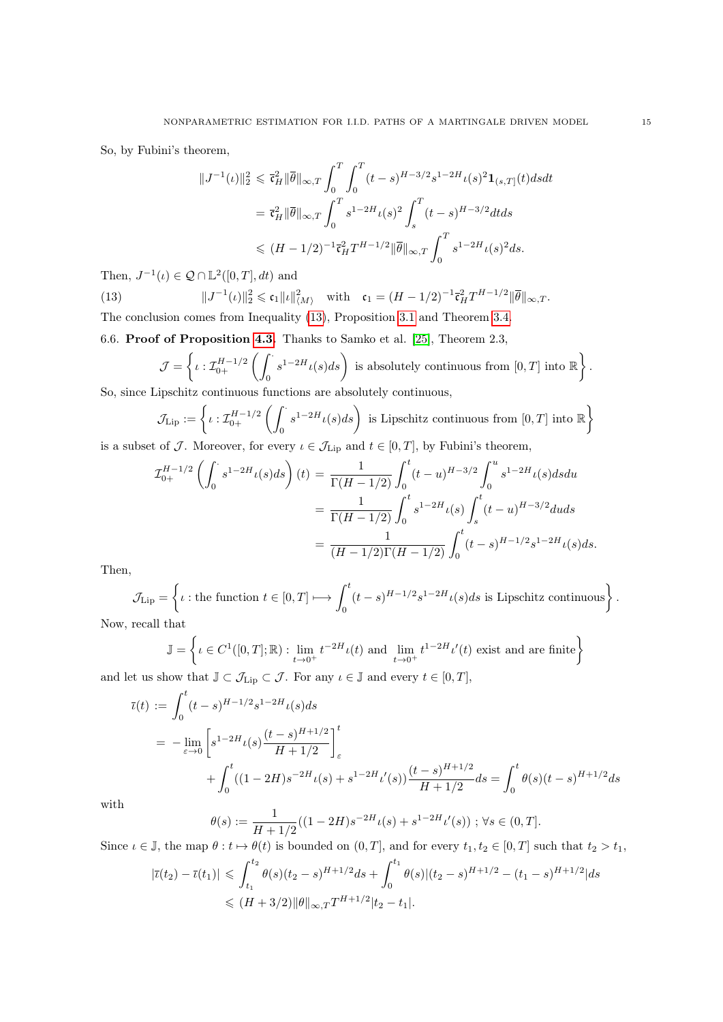So, by Fubini's theorem,

$$
||J^{-1}(t)||_2^2 \leq \bar{\mathfrak{r}}_H^2 ||\bar{\theta}||_{\infty,T} \int_0^T \int_0^T (t-s)^{H-3/2} s^{1-2H} t(s)^2 \mathbf{1}_{(s,T]}(t) ds dt
$$
  
=  $\bar{\mathfrak{r}}_H^2 ||\bar{\theta}||_{\infty,T} \int_0^T s^{1-2H} t(s)^2 \int_s^T (t-s)^{H-3/2} dt ds$   
 $\leq (H-1/2)^{-1} \bar{\mathfrak{r}}_H^2 T^{H-1/2} ||\bar{\theta}||_{\infty,T} \int_0^T s^{1-2H} t(s)^2 ds.$ 

Then,  $J^{-1}(\iota) \in \mathcal{Q} \cap \mathbb{L}^2([0,T], dt)$  and

 $(13)$  $\|\mathbf{c}_1 - \mathbf{c}_1\|_2^2 \leqslant \mathbf{c}_1 \|\mathbf{c}\|_{\langle M \rangle}^2 \quad \text{with} \quad \mathbf{c}_1 = (H - 1/2)^{-1} \bar{\mathbf{c}}_H^2 T^{H-1/2} \|\bar{\theta}\|_{\infty, T}.$ The conclusion comes from Inequality [\(13\)](#page-14-1), Proposition [3.1](#page-3-1) and Theorem [3.4.](#page-4-2)

<span id="page-14-0"></span>6.6. Proof of Proposition [4.3.](#page-5-3) Thanks to Samko et al. [\[25\]](#page-15-22), Theorem 2.3,

<span id="page-14-1"></span>
$$
\mathcal{J} = \left\{ \iota : \mathcal{I}_{0+}^{H-1/2} \left( \int_0^{\cdot} s^{1-2H} \iota(s) ds \right) \text{ is absolutely continuous from } [0, T] \text{ into } \mathbb{R} \right\}.
$$
  
inschitz continuous functions are absolutely continuous.

So, since Lipschitz continuous functions are absolutely continuous,

$$
\mathcal{J}_{\text{Lip}} := \left\{ \iota : \mathcal{I}_{0+}^{H-1/2} \left( \int_0^{\cdot} s^{1-2H} \iota(s) ds \right) \text{ is Lipschitz continuous from } [0, T] \text{ into } \mathbb{R} \right\}
$$
  
to  $f \in \mathcal{I}$ . Moreover, for every  $\iota \in \mathcal{I}_{\mathcal{I}}$ , and  $t \in [0, T]$  by Eubini's theorem

is a subset of J. Moreover, for every  $\iota \in \mathcal{J}_{\text{Lip}}$  and  $t \in [0, T]$ , by Fubini's theorem,

$$
\mathcal{I}_{0+}^{H-1/2} \left( \int_0^{\cdot} s^{1-2H} \iota(s) ds \right) (t) = \frac{1}{\Gamma(H-1/2)} \int_0^t (t-u)^{H-3/2} \int_0^u s^{1-2H} \iota(s) ds du
$$
  
= 
$$
\frac{1}{\Gamma(H-1/2)} \int_0^t s^{1-2H} \iota(s) \int_s^t (t-u)^{H-3/2} du ds
$$
  
= 
$$
\frac{1}{(H-1/2)\Gamma(H-1/2)} \int_0^t (t-s)^{H-1/2} s^{1-2H} \iota(s) ds.
$$

Then,

$$
\mathcal{J}_{\text{Lip}} = \left\{ \iota : \text{the function } t \in [0, T] \longmapsto \int_0^t (t - s)^{H - 1/2} s^{1 - 2H} \iota(s) ds \text{ is Lipschitz continuous} \right\}.
$$

Now, recall that

$$
\mathbb{J} = \left\{ \iota \in C^1([0, T]; \mathbb{R}) : \lim_{t \to 0^+} t^{-2H} \iota(t) \text{ and } \lim_{t \to 0^+} t^{1-2H} \iota'(t) \text{ exist and are finite} \right\}
$$
  
and let us show that  $\mathbb{J} \subset \mathcal{J}_{\text{Lip}} \subset \mathcal{J}$ . For any  $\iota \in \mathbb{J}$  and every  $t \in [0, T]$ ,

$$
\bar{\iota}(t) := \int_0^t (t-s)^{H-1/2} s^{1-2H} \iota(s) ds
$$
  
= 
$$
-\lim_{\varepsilon \to 0} \left[ s^{1-2H} \iota(s) \frac{(t-s)^{H+1/2}}{H+1/2} \right]_{\varepsilon}^t
$$
  
+ 
$$
\int_0^t ((1-2H)s^{-2H} \iota(s) + s^{1-2H} \iota'(s) \frac{(t-s)^{H+1/2}}{H+1/2} ds = \int_0^t \theta(s) (t-s)^{H+1/2} ds
$$

with

$$
\theta(s) := \frac{1}{H + 1/2}((1 - 2H)s^{-2H}\iota(s) + s^{1 - 2H}\iota'(s)) \; ; \; \forall s \in (0, T].
$$

Since  $\iota \in \mathbb{J}$ , the map  $\theta : t \mapsto \theta(t)$  is bounded on  $(0, T]$ , and for every  $t_1, t_2 \in [0, T]$  such that  $t_2 > t_1$ ,

$$
|\bar{\iota}(t_2) - \bar{\iota}(t_1)| \leq \int_{t_1}^{t_2} \theta(s)(t_2 - s)^{H + 1/2} ds + \int_0^{t_1} \theta(s) |(t_2 - s)^{H + 1/2} - (t_1 - s)^{H + 1/2}| ds
$$
  
\$\leq H + 3/2\$  $||\theta||_{\infty,T}T^{H + 1/2}|t_2 - t_1|$ .